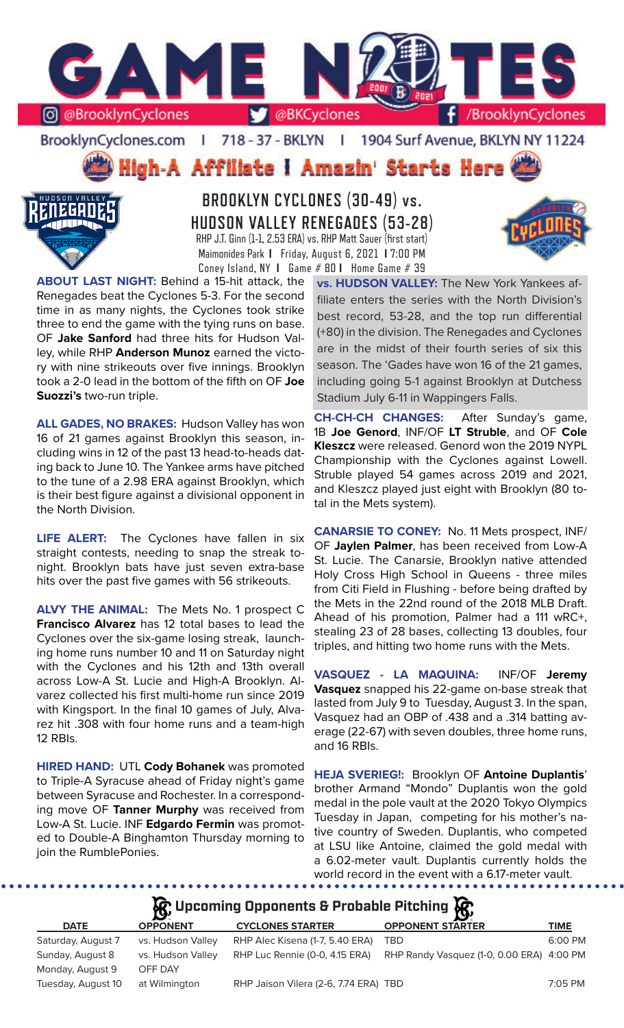

BrooklynCyclones.com | 718 - 37 - BKLYN | 1904 Surf Avenue, BKLYN NY 11224

High-A Affiliate I Amazin' Starts Here



**BROOKLYN CYCLONES (30-49) vs. HUDSON VALLEY RENEGADES (53-28)** RHP J.T. Ginn (1-1, 2.53 ERA) vs. RHP Matt Sauer (first start) Maimonides Park **I** Friday, August 6, 2021 **I** 7:00 PM Coney Island, NY **I** Game # 80 **I** Home Game # 39

**ABOUT LAST NIGHT:** Behind a 15-hit attack, the Renegades beat the Cyclones 5-3. For the second time in as many nights, the Cyclones took strike three to end the game with the tying runs on base. OF **Jake Sanford** had three hits for Hudson Valley, while RHP **Anderson Munoz** earned the victory with nine strikeouts over five innings. Brooklyn took a 2-0 lead in the bottom of the fifth on OF **Joe Suozzi's** two-run triple.

**ALL GADES, NO BRAKES:** Hudson Valley has won 16 of 21 games against Brooklyn this season, including wins in 12 of the past 13 head-to-heads dating back to June 10. The Yankee arms have pitched to the tune of a 2.98 ERA against Brooklyn, which is their best figure against a divisional opponent in the North Division.

**LIFE ALERT:** The Cyclones have fallen in six straight contests, needing to snap the streak tonight. Brooklyn bats have just seven extra-base hits over the past five games with 56 strikeouts.

**ALVY THE ANIMAL:** The Mets No. 1 prospect C **Francisco Alvarez** has 12 total bases to lead the Cyclones over the six-game losing streak, launching home runs number 10 and 11 on Saturday night with the Cyclones and his 12th and 13th overall across Low-A St. Lucie and High-A Brooklyn. Alvarez collected his first multi-home run since 2019 with Kingsport. In the final 10 games of July, Alvarez hit .308 with four home runs and a team-high 12 RBIs.

**HIRED HAND:** UTL **Cody Bohanek** was promoted to Triple-A Syracuse ahead of Friday night's game between Syracuse and Rochester. In a corresponding move OF **Tanner Murphy** was received from Low-A St. Lucie. INF **Edgardo Fermin** was promoted to Double-A Binghamton Thursday morning to join the RumblePonies.

**vs. HUDSON VALLEY:** The New York Yankees affiliate enters the series with the North Division's best record, 53-28, and the top run differential (+80) in the division. The Renegades and Cyclones are in the midst of their fourth series of six this season. The 'Gades have won 16 of the 21 games, including going 5-1 against Brooklyn at Dutchess Stadium July 6-11 in Wappingers Falls.

**CH-CH-CH CHANGES:** After Sunday's game, 1B **Joe Genord**, INF/OF **LT Struble**, and OF **Cole Kleszcz** were released. Genord won the 2019 NYPL Championship with the Cyclones against Lowell. Struble played 54 games across 2019 and 2021, and Kleszcz played just eight with Brooklyn (80 total in the Mets system).

**CANARSIE TO CONEY:** No. 11 Mets prospect, INF/ OF **Jaylen Palmer**, has been received from Low-A St. Lucie. The Canarsie, Brooklyn native attended Holy Cross High School in Queens - three miles from Citi Field in Flushing - before being drafted by the Mets in the 22nd round of the 2018 MLB Draft. Ahead of his promotion, Palmer had a 111 wRC+, stealing 23 of 28 bases, collecting 13 doubles, four triples, and hitting two home runs with the Mets.

**VASQUEZ - LA MAQUINA:** INF/OF **Jeremy Vasquez** snapped his 22-game on-base streak that lasted from July 9 to Tuesday, August 3. In the span, Vasquez had an OBP of .438 and a .314 batting average (22-67) with seven doubles, three home runs, and 16 RBIs.

**HEJA SVERIEG!:** Brooklyn OF **Antoine Duplantis**' brother Armand "Mondo" Duplantis won the gold medal in the pole vault at the 2020 Tokyo Olympics Tuesday in Japan, competing for his mother's native country of Sweden. Duplantis, who competed at LSU like Antoine, claimed the gold medal with a 6.02-meter vault. Duplantis currently holds the world record in the event with a 6.17-meter vault.

**Upcoming Opponents & Probable Pitching**

| <b>DATE</b>                     | <b>OPPONENT</b>   | <b>CYCLONES STARTER</b>              | <b>OPPONENT STARTER</b>                                                  | TIME    |
|---------------------------------|-------------------|--------------------------------------|--------------------------------------------------------------------------|---------|
| Saturday, August 7              | vs. Hudson Valley | RHP Alec Kisena (1-7, 5.40 ERA)      | <b>TRD</b>                                                               | 6:00 PM |
| Sunday, August 8                | vs. Hudson Valley |                                      | RHP Luc Rennie (0-0, 4.15 ERA) RHP Randy Vasquez (1-0, 0.00 ERA) 4:00 PM |         |
| Monday, August 9                | OFF DAY           |                                      |                                                                          |         |
| $\tau$ . I A . IAO . INFL. . I. |                   | <u>DUD LILLIUS (O C 774 FOA) TOD</u> |                                                                          | 7.05.01 |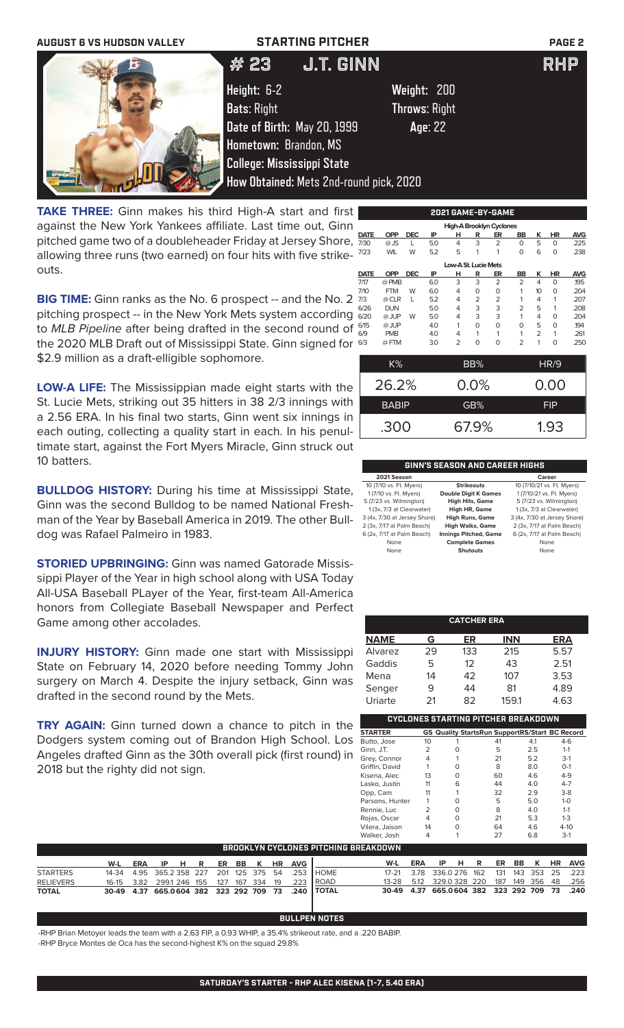

**TAKE THREE:** Ginn makes his third High-A start and first against the New York Yankees affiliate. Last time out, Ginn pitched game two of a doubleheader Friday at Jersey Shore, allowing three runs (two earned) on four hits with five strikeouts.

**BIG TIME:** Ginn ranks as the No. 6 prospect -- and the No. 2 pitching prospect -- in the New York Mets system according to *MLB Pipeline* after being drafted in the second round of the 2020 MLB Draft out of Mississippi State. Ginn signed for  $\epsilon$ \$2.9 million as a draft-elligible sophomore.

**LOW-A LIFE:** The Mississippian made eight starts with the St. Lucie Mets, striking out 35 hitters in 38 2/3 innings with a 2.56 ERA. In his final two starts, Ginn went six innings in each outing, collecting a quality start in each. In his penultimate start, against the Fort Myers Miracle, Ginn struck out 10 batters.

**BULLDOG HISTORY:** During his time at Mississippi State, Ginn was the second Bulldog to be named National Freshman of the Year by Baseball America in 2019. The other Bulldog was Rafael Palmeiro in 1983.

**STORIED UPBRINGING:** Ginn was named Gatorade Mississippi Player of the Year in high school along with USA Today All-USA Baseball PLayer of the Year, first-team All-America honors from Collegiate Baseball Newspaper and Perfect Game among other accolades.

**INJURY HISTORY:** Ginn made one start with Mississippi State on February 14, 2020 before needing Tommy John surgery on March 4. Despite the injury setback, Ginn was drafted in the second round by the Mets.

**TRY AGAIN:** Ginn turned down a chance to pitch in the Dodgers system coming out of Brandon High School. Los Angeles drafted Ginn as the 30th overall pick (first round) in 2018 but the righty did not sign.

|      | -----<br>--<br>-----     |            |     |                      |                |                |                |                |            |            |  |  |  |  |
|------|--------------------------|------------|-----|----------------------|----------------|----------------|----------------|----------------|------------|------------|--|--|--|--|
|      | High-A Brooklyn Cyclones |            |     |                      |                |                |                |                |            |            |  |  |  |  |
| DATE | <b>OPP</b>               | <b>DEC</b> | IP  | н                    | R              | ER             | BB             | ĸ              | HR         | <b>AVG</b> |  |  |  |  |
| 7/30 | $@$ JS                   | L          | 5.0 | 4                    | 3              | $\overline{2}$ | $\Omega$       | 5              | $\Omega$   | .225       |  |  |  |  |
| 7/23 | <b>WIL</b>               | W          | 5.2 | 5                    | 1              | 1              | $\Omega$       | 6              | $\Omega$   | .238       |  |  |  |  |
|      |                          |            |     | Low-A St. Lucie Mets |                |                |                |                |            |            |  |  |  |  |
| DATE | <b>OPP</b>               | <b>DEC</b> | IP  | н                    | R              | ER             | BB             | ĸ              | HR         | <b>AVG</b> |  |  |  |  |
| 7/17 | @ PMB                    |            | 6.0 | 3                    | 3              | $\overline{2}$ | $\overline{2}$ | $\overline{4}$ | $\Omega$   | .195       |  |  |  |  |
| 7/10 | <b>FTM</b>               | W          | 6.0 | 4                    | 0              | 0              | 1              | 10             | 0          | .204       |  |  |  |  |
| 7/3  | @ CLR                    | L          | 5.2 | 4                    | $\overline{2}$ | $\overline{2}$ | 1              | 4              | 1          | .207       |  |  |  |  |
| 6/26 | <b>DUN</b>               |            | 5.0 | 4                    | 3              | 3              | $\overline{2}$ | 5              | 1          | .208       |  |  |  |  |
| 6/20 | @ JUP                    | W          | 5.0 | 4                    | 3              | 3              | 1              | 4              | 0          | .204       |  |  |  |  |
| 6/15 | @ JUP                    |            | 4.0 | 1                    | 0              | $\circ$        | 0              | 5              | 0          | 194        |  |  |  |  |
| 6/9  | <b>PMB</b>               |            | 4.0 | 4                    | 1              | 1              | 1              | 2              | 1          | .261       |  |  |  |  |
| 6/3  | @FTM                     |            | 3.0 | $\overline{2}$       | 0              | 0              | $\overline{2}$ | 1              | O          | .250       |  |  |  |  |
|      |                          |            |     |                      |                |                |                |                |            |            |  |  |  |  |
|      | K%                       |            |     |                      | BB%            |                |                |                | HR/9       |            |  |  |  |  |
|      |                          |            |     |                      |                |                |                |                |            |            |  |  |  |  |
|      | 26.2%                    |            |     |                      | 0.0%           |                |                |                | 0.00       |            |  |  |  |  |
|      | <b>BABIP</b>             |            |     |                      | GB%            |                |                |                | <b>FIP</b> |            |  |  |  |  |
|      | .300                     |            |     |                      | 67.9%          |                |                |                | 1.93       |            |  |  |  |  |
|      |                          |            |     |                      |                |                |                |                |            |            |  |  |  |  |

## **GINN'S SEASON AND CAREER HIGHS**

|                              | Career                       |
|------------------------------|------------------------------|
| <b>Strikeouts</b>            | 10 (7/10/21 vs. Ft. Myers)   |
| <b>Double Digit K Games</b>  | 1 (7/10/21 vs. Ft. Myers)    |
| <b>High Hits, Game</b>       | 5 (7/23 vs. Wilmington)      |
| High HR, Game                | 1 (3x, 7/3 at Clearwater)    |
| <b>High Runs, Game</b>       | 3 (4x, 7/30 at Jersey Shore) |
| <b>High Walks, Game</b>      | 2 (3x, 7/17 at Palm Beach)   |
| <b>Innings Pitched, Game</b> | 6 (2x, 7/17 at Palm Beach)   |
| <b>Complete Games</b>        | None                         |
| <b>Shutouts</b>              | None                         |
|                              |                              |

| <b>CATCHER ERA</b> |    |     |            |      |  |  |  |  |  |  |
|--------------------|----|-----|------------|------|--|--|--|--|--|--|
| <b>NAME</b>        | G  | ER  | <b>INN</b> | ERA  |  |  |  |  |  |  |
| Alvarez            | 29 | 133 | 215        | 5.57 |  |  |  |  |  |  |
| Gaddis             | 5  | 12  | 43         | 2.51 |  |  |  |  |  |  |
| Mena               | 14 | 42  | 107        | 3.53 |  |  |  |  |  |  |
| Senger             | 9  | 44  | 81         | 4.89 |  |  |  |  |  |  |
| Uriarte            | 21 | 82  | 159.1      | 4.63 |  |  |  |  |  |  |

| CYCLONES STARTING PITCHER BREAKDOWN |                |   |                                                       |     |          |  |  |  |  |  |
|-------------------------------------|----------------|---|-------------------------------------------------------|-----|----------|--|--|--|--|--|
| <b>STARTER</b>                      |                |   | <b>GS Quality StartsRun SupportRS/Start BC Record</b> |     |          |  |  |  |  |  |
| Butto, Jose                         | 10             |   | 41                                                    | 4.1 | $4-6$    |  |  |  |  |  |
| Ginn, J.T.                          | $\overline{2}$ |   | 5                                                     | 2.5 | $1 - 1$  |  |  |  |  |  |
| Grey, Connor                        | 4              |   | 21                                                    | 5.2 | $3-1$    |  |  |  |  |  |
| Griffin, David                      | 1              | U | 8                                                     | 8.0 | $O-1$    |  |  |  |  |  |
| Kisena, Alec                        | 13             | O | 60                                                    | 4.6 | $4 - 9$  |  |  |  |  |  |
| Lasko, Justin                       | 11             | 6 | 44                                                    | 4.0 | $4 - 7$  |  |  |  |  |  |
| Opp, Cam                            | 11             |   | 32                                                    | 2.9 | $3-8$    |  |  |  |  |  |
| Parsons, Hunter                     |                |   | 5                                                     | 5.0 | $1 - 0$  |  |  |  |  |  |
| Rennie, Luc                         | フ              | O | 8                                                     | 4.0 | $1 - 1$  |  |  |  |  |  |
| Rojas, Oscar                        | 4              | O | 21                                                    | 5.3 | $1 - 3$  |  |  |  |  |  |
| Vilera, Jaison                      | 14             | U | 64                                                    | 4.6 | $4 - 10$ |  |  |  |  |  |
| Walker, Josh                        | 4              |   | 27                                                    | 6.8 | $3-1$    |  |  |  |  |  |
| 15 A I/MAI AI AI                    |                |   |                                                       |     |          |  |  |  |  |  |

|                  | <b>BROOKLYN CYCLONES PITCHING BREAKDOWN</b> |  |  |  |  |  |  |  |  |                           |                                                             |                                                       |         |      |  |  |  |                |
|------------------|---------------------------------------------|--|--|--|--|--|--|--|--|---------------------------|-------------------------------------------------------------|-------------------------------------------------------|---------|------|--|--|--|----------------|
|                  | W-L                                         |  |  |  |  |  |  |  |  | ERA IP H R ER BB K HR AVG |                                                             |                                                       | W-L ERA | IPHR |  |  |  | ER BB K HR AVG |
| <b>STARTERS</b>  |                                             |  |  |  |  |  |  |  |  |                           | 14-34  4.95  365.2  358  227  201  125  375  54  .253  HOME | 17-21 3.78 336.0 276 162 131 143 353 25 .223          |         |      |  |  |  |                |
| <b>RELIEVERS</b> | 16-15 3.82 299.1 246 155 127 167 334 19     |  |  |  |  |  |  |  |  |                           | .223 ROAD                                                   | 13-28  5.12  329.0  328  220  187  149  356  48  .256 |         |      |  |  |  |                |
| <b>TOTAL</b>     |                                             |  |  |  |  |  |  |  |  |                           | 30-49 4.37 665.0604 382 323 292 709 73 .240 TOTAL           | 30-49 4.37 665.0604 382 323 292 709 73 .240           |         |      |  |  |  |                |

## **BULLPEN NOTES**

-RHP Brian Metoyer leads the team with a 2.63 FIP, a 0.93 WHIP, a 35.4% strikeout rate, and a .220 BABIP. -RHP Bryce Montes de Oca has the second-highest K% on the squad 29.8%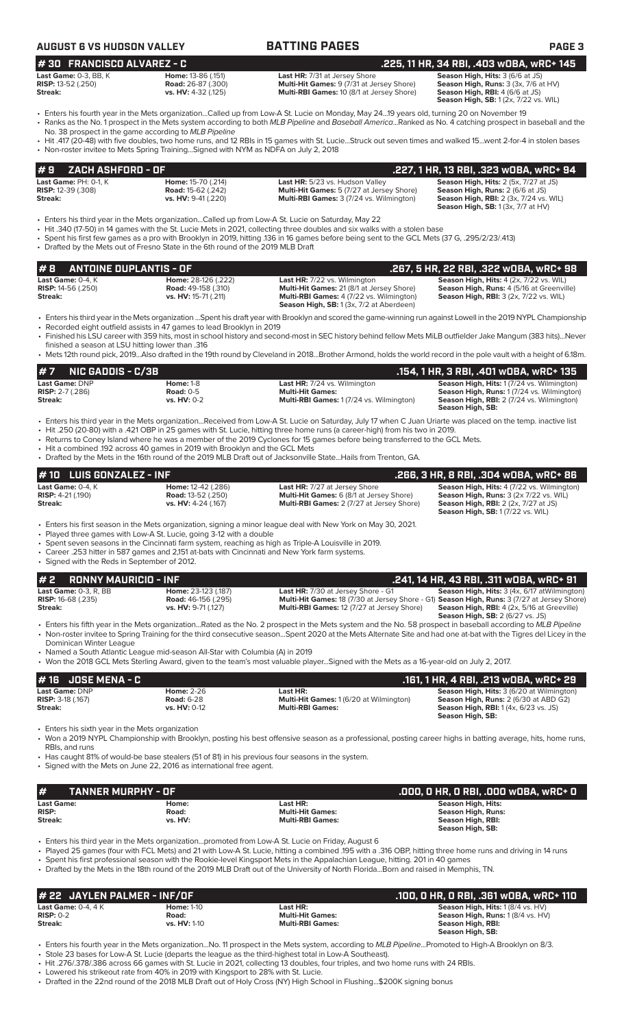| #30 FRANCISCO ALVAREZ - C<br>.225, 11 HR, 34 RBI, .403 wOBA, wRC+ 145<br>Last Game: 0-3, BB, K<br>Season High, Hits: 3 (6/6 at JS)<br>Home: 13-86 (.151)<br>Last HR: 7/31 at Jersey Shore<br>Multi-Hit Games: 9 (7/31 at Jersey Shore)<br><b>RISP: 13-52 (.250)</b><br><b>Road:</b> 26-87 (.300)<br>Season High, Runs: 3 (3x, 7/6 at HV)<br>vs. HV: 4-32 (.125)<br>Multi-RBI Games: 10 (8/1 at Jersey Shore)<br>Season High, RBI: 4 (6/6 at JS)<br>Streak:<br><b>Season High, SB:</b> 1 (2x, 7/22 vs. WIL)<br>· Enters his fourth year in the Mets organizationCalled up from Low-A St. Lucie on Monday, May 2419 years old, turning 20 on November 19<br>• Ranks as the No. 1 prospect in the Mets system according to both MLB Pipeline and Baseball AmericaRanked as No. 4 catching prospect in baseball and the<br>No. 38 prospect in the game according to MLB Pipeline<br>· Hit .417 (20-48) with five doubles, two home runs, and 12 RBIs in 15 games with St. LucieStruck out seven times and walked 15went 2-for-4 in stolen bases<br>• Non-roster invitee to Mets Spring TrainingSigned with NYM as NDFA on July 2, 2018<br>ZACH ASHFORD - OF<br>.227, 1 HR, 13 RBI, .323 wOBA, wRC+ 94<br>#9<br>Last Game: PH: 0-1, K<br>Home: 15-70 (.214)<br>Last HR: 5/23 vs. Hudson Valley<br>Season High, Hits: 2 (5x, 7/27 at JS)<br><b>RISP: 12-39 (.308)</b><br>Multi-Hit Games: 5 (7/27 at Jersey Shore)<br>Season High, Runs: 2 (6/6 at JS)<br><b>Road:</b> 15-62 (.242)<br>Streak:<br>vs. HV: 9-41 (.220)<br>Multi-RBI Games: 3 (7/24 vs. Wilmington)<br><b>Season High, RBI: 2 (3x, 7/24 vs. WIL)</b><br><b>Season High, SB:</b> 1 (3x, 7/7 at HV)<br>Enters his third year in the Mets organizationCalled up from Low-A St. Lucie on Saturday, May 22 •<br>Hit .340 (17-50) in 14 games with the St. Lucie Mets in 2021, collecting three doubles and six walks with a stolen base<br>• Spent his first few games as a pro with Brooklyn in 2019, hitting .136 in 16 games before being sent to the GCL Mets (37 G, .295/2/23/.413)<br>• Drafted by the Mets out of Fresno State in the 6th round of the 2019 MLB Draft<br><b>ANTOINE DUPLANTIS - OF</b><br>.267, 5 HR, 22 RBI, .322 wOBA, wRC+ 98<br>#8<br>Season High, Hits: 4 (2x, 7/22 vs. WIL)<br>Last Game: 0-4, K<br>Home: 28-126 (.222)<br>Last HR: 7/22 vs. Wilmington<br>RISP: 14-56 (.250)<br><b>Road: 49-158 (.310)</b><br>Multi-Hit Games: 21 (8/1 at Jersey Shore)<br>Season High, Runs: 4 (5/16 at Greenville)<br>vs. HV: 15-71 (.211)<br>Multi-RBI Games: 4 (7/22 vs. Wilmington)<br>Season High, RBI: 3 (2x, 7/22 vs. WIL)<br>Streak:<br>Season High, SB: 1 (3x, 7/2 at Aberdeen)<br>· Enters his third year in the Mets organization  Spent his draft year with Brooklyn and scored the game-winning run against Lowell in the 2019 NYPL Championship<br>• Recorded eight outfield assists in 47 games to lead Brooklyn in 2019<br>• Finished his LSU career with 359 hits, most in school history and second-most in SEC history behind fellow Mets MiLB outfielder Jake Mangum (383 hits)Never<br>finished a season at LSU hitting lower than .316<br>• Mets 12th round pick, 2019Also drafted in the 19th round by Cleveland in 2018Brother Armond, holds the world record in the pole vault with a height of 6.18m.<br><b>NIC GADDIS - C/3B</b><br>#7<br>.154, 1 HR, 3 RBI, .401 wOBA, wRC+ 135<br>Season High, Hits: 1 (7/24 vs. Wilmington)<br>Last Game: DNP<br><b>Home: 1-8</b><br><b>Last HR:</b> 7/24 vs. Wilmington<br><b>RISP:</b> $2-7$ (.286)<br><b>Road: 0-5</b><br><b>Multi-Hit Games:</b><br>Season High, Runs: 1 (7/24 vs. Wilmington)<br>vs. HV: 0-2<br>Multi-RBI Games: 1 (7/24 vs. Wilmington)<br>Season High, RBI: 2 (7/24 vs. Wilmington)<br>Streak:<br>Season High, SB:<br>• Enters his third year in the Mets organizationReceived from Low-A St. Lucie on Saturday, July 17 when C Juan Uriarte was placed on the temp. inactive list<br>. Hit .250 (20-80) with a .421 OBP in 25 games with St. Lucie, hitting three home runs (a career-high) from his two in 2019.<br>• Returns to Coney Island where he was a member of the 2019 Cyclones for 15 games before being transferred to the GCL Mets.<br>• Hit a combined .192 across 40 games in 2019 with Brooklyn and the GCL Mets<br>• Drafted by the Mets in the 16th round of the 2019 MLB Draft out of Jacksonville StateHails from Trenton, GA.<br><b>LUIS GONZALEZ - INF</b><br>.266, 3 HR, 8 RBI, .304 w0BA, wRC+ 86<br>10<br>Season High, Hits: 4 (7/22 vs. Wilmington)<br>Last Game: 0-4. K<br>Last HR: 7/27 at Jersey Shore<br>Home: 12-42 (.286)<br>Multi-Hit Games: 6 (8/1 at Jersey Shore)<br>Road: 13-52 (.250)<br><b>RISP:</b> 4-21 (.190)<br>Season High, Runs: 3 (2x 7/22 vs. WIL)<br>vs. HV: 4-24 (.167)<br>Multi-RBI Games: 2 (7/27 at Jersey Shore)<br><b>Season High, RBI:</b> 2 (2x, 7/27 at JS)<br>Streak:<br><b>Season High, SB: 1 (7/22 vs. WIL)</b><br>• Enters his first season in the Mets organization, signing a minor league deal with New York on May 30, 2021.<br>• Played three games with Low-A St. Lucie, going 3-12 with a double<br>• Spent seven seasons in the Cincinnati farm system, reaching as high as Triple-A Louisville in 2019.<br>• Career .253 hitter in 587 games and 2.151 at-bats with Cincinnati and New York farm systems.<br>• Signed with the Reds in September of 2012.<br><b>RONNY MAURICIO - INF</b><br>.241, 14 HR, 43 RBI, .311 wOBA, wRC+ 91<br>2<br>Last Game: 0-3, R, BB<br>Season High, Hits: 3 (4x, 6/17 at Wilmington)<br>Home: 23-123 (.187)<br>Last HR: 7/30 at Jersey Shore - G1<br><b>RISP:</b> 16-68 (.235)<br><b>Road:</b> 46-156 (.295)<br>Multi-Hit Games: 18 (7/30 at Jersey Shore - G1) Season High, Runs: 3 (7/27 at Jersey Shore)<br>Multi-RBI Games: 12 (7/27 at Jersey Shore)<br>Season High, RBI: 4 (2x, 5/16 at Greeville)<br>vs. HV: 9-71 (.127)<br><b>Streak:</b><br><b>Season High, SB: 2 (6/27 vs. JS)</b><br>• Enters his fifth year in the Mets organizationRated as the No. 2 prospect in the Mets system and the No. 58 prospect in baseball according to MLB Pipeline<br>• Non-roster invitee to Spring Training for the third consecutive seasonSpent 2020 at the Mets Alternate Site and had one at-bat with the Tigres del Licey in the<br>Dominican Winter League<br>• Named a South Atlantic League mid-season All-Star with Columbia (A) in 2019<br>• Won the 2018 GCL Mets Sterling Award, given to the team's most valuable playerSigned with the Mets as a 16-year-old on July 2, 2017.<br><b>JOSE MENA - C</b><br>.161, 1 HR, 4 RBI, .213 WOBA, WRC+ 29<br># 16<br>Last Game: DNP<br><b>Home: 2-26</b><br>Last HR:<br>Season High, Hits: 3 (6/20 at Wilmington)<br>RISP: 3-18 (.167)<br><b>Road: 6-28</b><br>Multi-Hit Games: 1 (6/20 at Wilmington)<br>Season High, Runs: 2 (6/30 at ABD G2)<br>Streak:<br>vs. HV: 0-12<br><b>Multi-RBI Games:</b><br><b>Season High, RBI:</b> 1 (4x, 6/23 vs. JS)<br>Season High, SB:<br>• Enters his sixth year in the Mets organization<br>• Won a 2019 NYPL Championship with Brooklyn, posting his best offensive season as a professional, posting career highs in batting average, hits, home runs,<br>RBIs, and runs<br>• Has caught 81% of would-be base stealers (51 of 81) in his previous four seasons in the system.<br>• Signed with the Mets on June 22, 2016 as international free agent.<br><b>TANNER MURPHY - OF</b><br>.000, 0 HR, 0 RBI, .000 w0BA, wRC+ 0<br>#<br><b>Season High, Hits:</b><br><b>Last Game:</b><br>Home:<br>Last HR:<br><b>RISP:</b><br>Road:<br><b>Multi-Hit Games:</b><br><b>Season High, Runs:</b><br>vs. HV:<br><b>Multi-RBI Games:</b><br>Season High, RBI:<br>Streak:<br>Season High, SB:<br>Enters his third year in the Mets organizationpromoted from Low-A St. Lucie on Friday, August 6<br>• Played 25 games (four with FCL Mets) and 21 with Low-A St. Lucie, hitting a combined 195 with a .316 OBP, hitting three home runs and driving in 14 runs<br>• Spent his first professional season with the Rookie-level Kingsport Mets in the Appalachian League, hitting, 201 in 40 games<br>• Drafted by the Mets in the 18th round of the 2019 MLB Draft out of the University of North FloridaBorn and raised in Memphis, TN. | <b>AUGUST 6 VS HUDSON VALLEY</b> | <b>BATTING PAGES</b> | PAGE <sub>3</sub> |
|-------------------------------------------------------------------------------------------------------------------------------------------------------------------------------------------------------------------------------------------------------------------------------------------------------------------------------------------------------------------------------------------------------------------------------------------------------------------------------------------------------------------------------------------------------------------------------------------------------------------------------------------------------------------------------------------------------------------------------------------------------------------------------------------------------------------------------------------------------------------------------------------------------------------------------------------------------------------------------------------------------------------------------------------------------------------------------------------------------------------------------------------------------------------------------------------------------------------------------------------------------------------------------------------------------------------------------------------------------------------------------------------------------------------------------------------------------------------------------------------------------------------------------------------------------------------------------------------------------------------------------------------------------------------------------------------------------------------------------------------------------------------------------------------------------------------------------------------------------------------------------------------------------------------------------------------------------------------------------------------------------------------------------------------------------------------------------------------------------------------------------------------------------------------------------------------------------------------------------------------------------------------------------------------------------------------------------------------------------------------------------------------------------------------------------------------------------------------------------------------------------------------------------------------------------------------------------------------------------------------------------------------------------------------------------------------------------------------------------------------------------------------------------------------------------------------------------------------------------------------------------------------------------------------------------------------------------------------------------------------------------------------------------------------------------------------------------------------------------------------------------------------------------------------------------------------------------------------------------------------------------------------------------------------------------------------------------------------------------------------------------------------------------------------------------------------------------------------------------------------------------------------------------------------------------------------------------------------------------------------------------------------------------------------------------------------------------------------------------------------------------------------------------------------------------------------------------------------------------------------------------------------------------------------------------------------------------------------------------------------------------------------------------------------------------------------------------------------------------------------------------------------------------------------------------------------------------------------------------------------------------------------------------------------------------------------------------------------------------------------------------------------------------------------------------------------------------------------------------------------------------------------------------------------------------------------------------------------------------------------------------------------------------------------------------------------------------------------------------------------------------------------------------------------------------------------------------------------------------------------------------------------------------------------------------------------------------------------------------------------------------------------------------------------------------------------------------------------------------------------------------------------------------------------------------------------------------------------------------------------------------------------------------------------------------------------------------------------------------------------------------------------------------------------------------------------------------------------------------------------------------------------------------------------------------------------------------------------------------------------------------------------------------------------------------------------------------------------------------------------------------------------------------------------------------------------------------------------------------------------------------------------------------------------------------------------------------------------------------------------------------------------------------------------------------------------------------------------------------------------------------------------------------------------------------------------------------------------------------------------------------------------------------------------------------------------------------------------------------------------------------------------------------------------------------------------------------------------------------------------------------------------------------------------------------------------------------------------------------------------------------------------------------------------------------------------------------------------------------------------------------------------------------------------------------------------------------------------------------------------------------------------------------------------------------------------------------------------------------------------------------------------------------------------------------------------------------------------------------------------------------------------------------------------------------------------------------------------------------------------------------------------------------------------------------------------------------------------------------------------------------------------------------------------------------------------------------------------------------------------------------------------------------------------------------------------------------------------------------------------------------------------------------------------------------------------------------------------------------------------------------------------------------------------------------------------------------------------------------------------------------------------------------------------------------------------------------------------------------------------------------------------------------------------------------------------------------------------------------------------------------------------------------------------------------------------------------------------------------------------------------------------------------|----------------------------------|----------------------|-------------------|
|                                                                                                                                                                                                                                                                                                                                                                                                                                                                                                                                                                                                                                                                                                                                                                                                                                                                                                                                                                                                                                                                                                                                                                                                                                                                                                                                                                                                                                                                                                                                                                                                                                                                                                                                                                                                                                                                                                                                                                                                                                                                                                                                                                                                                                                                                                                                                                                                                                                                                                                                                                                                                                                                                                                                                                                                                                                                                                                                                                                                                                                                                                                                                                                                                                                                                                                                                                                                                                                                                                                                                                                                                                                                                                                                                                                                                                                                                                                                                                                                                                                                                                                                                                                                                                                                                                                                                                                                                                                                                                                                                                                                                                                                                                                                                                                                                                                                                                                                                                                                                                                                                                                                                                                                                                                                                                                                                                                                                                                                                                                                                                                                                                                                                                                                                                                                                                                                                                                                                                                                                                                                                                                                                                                                                                                                                                                                                                                                                                                                                                                                                                                                                                                                                                                                                                                                                                                                                                                                                                                                                                                                                                                                                                                                                                                                                                                                                                                                                                                                                                                                                                                                                                                                                                                                                                                                                                                                                                                                                                                                                                                                                                                                                                                                                                                                               |                                  |                      |                   |
|                                                                                                                                                                                                                                                                                                                                                                                                                                                                                                                                                                                                                                                                                                                                                                                                                                                                                                                                                                                                                                                                                                                                                                                                                                                                                                                                                                                                                                                                                                                                                                                                                                                                                                                                                                                                                                                                                                                                                                                                                                                                                                                                                                                                                                                                                                                                                                                                                                                                                                                                                                                                                                                                                                                                                                                                                                                                                                                                                                                                                                                                                                                                                                                                                                                                                                                                                                                                                                                                                                                                                                                                                                                                                                                                                                                                                                                                                                                                                                                                                                                                                                                                                                                                                                                                                                                                                                                                                                                                                                                                                                                                                                                                                                                                                                                                                                                                                                                                                                                                                                                                                                                                                                                                                                                                                                                                                                                                                                                                                                                                                                                                                                                                                                                                                                                                                                                                                                                                                                                                                                                                                                                                                                                                                                                                                                                                                                                                                                                                                                                                                                                                                                                                                                                                                                                                                                                                                                                                                                                                                                                                                                                                                                                                                                                                                                                                                                                                                                                                                                                                                                                                                                                                                                                                                                                                                                                                                                                                                                                                                                                                                                                                                                                                                                                                               |                                  |                      |                   |
|                                                                                                                                                                                                                                                                                                                                                                                                                                                                                                                                                                                                                                                                                                                                                                                                                                                                                                                                                                                                                                                                                                                                                                                                                                                                                                                                                                                                                                                                                                                                                                                                                                                                                                                                                                                                                                                                                                                                                                                                                                                                                                                                                                                                                                                                                                                                                                                                                                                                                                                                                                                                                                                                                                                                                                                                                                                                                                                                                                                                                                                                                                                                                                                                                                                                                                                                                                                                                                                                                                                                                                                                                                                                                                                                                                                                                                                                                                                                                                                                                                                                                                                                                                                                                                                                                                                                                                                                                                                                                                                                                                                                                                                                                                                                                                                                                                                                                                                                                                                                                                                                                                                                                                                                                                                                                                                                                                                                                                                                                                                                                                                                                                                                                                                                                                                                                                                                                                                                                                                                                                                                                                                                                                                                                                                                                                                                                                                                                                                                                                                                                                                                                                                                                                                                                                                                                                                                                                                                                                                                                                                                                                                                                                                                                                                                                                                                                                                                                                                                                                                                                                                                                                                                                                                                                                                                                                                                                                                                                                                                                                                                                                                                                                                                                                                                               |                                  |                      |                   |
|                                                                                                                                                                                                                                                                                                                                                                                                                                                                                                                                                                                                                                                                                                                                                                                                                                                                                                                                                                                                                                                                                                                                                                                                                                                                                                                                                                                                                                                                                                                                                                                                                                                                                                                                                                                                                                                                                                                                                                                                                                                                                                                                                                                                                                                                                                                                                                                                                                                                                                                                                                                                                                                                                                                                                                                                                                                                                                                                                                                                                                                                                                                                                                                                                                                                                                                                                                                                                                                                                                                                                                                                                                                                                                                                                                                                                                                                                                                                                                                                                                                                                                                                                                                                                                                                                                                                                                                                                                                                                                                                                                                                                                                                                                                                                                                                                                                                                                                                                                                                                                                                                                                                                                                                                                                                                                                                                                                                                                                                                                                                                                                                                                                                                                                                                                                                                                                                                                                                                                                                                                                                                                                                                                                                                                                                                                                                                                                                                                                                                                                                                                                                                                                                                                                                                                                                                                                                                                                                                                                                                                                                                                                                                                                                                                                                                                                                                                                                                                                                                                                                                                                                                                                                                                                                                                                                                                                                                                                                                                                                                                                                                                                                                                                                                                                                               |                                  |                      |                   |
|                                                                                                                                                                                                                                                                                                                                                                                                                                                                                                                                                                                                                                                                                                                                                                                                                                                                                                                                                                                                                                                                                                                                                                                                                                                                                                                                                                                                                                                                                                                                                                                                                                                                                                                                                                                                                                                                                                                                                                                                                                                                                                                                                                                                                                                                                                                                                                                                                                                                                                                                                                                                                                                                                                                                                                                                                                                                                                                                                                                                                                                                                                                                                                                                                                                                                                                                                                                                                                                                                                                                                                                                                                                                                                                                                                                                                                                                                                                                                                                                                                                                                                                                                                                                                                                                                                                                                                                                                                                                                                                                                                                                                                                                                                                                                                                                                                                                                                                                                                                                                                                                                                                                                                                                                                                                                                                                                                                                                                                                                                                                                                                                                                                                                                                                                                                                                                                                                                                                                                                                                                                                                                                                                                                                                                                                                                                                                                                                                                                                                                                                                                                                                                                                                                                                                                                                                                                                                                                                                                                                                                                                                                                                                                                                                                                                                                                                                                                                                                                                                                                                                                                                                                                                                                                                                                                                                                                                                                                                                                                                                                                                                                                                                                                                                                                                               |                                  |                      |                   |
|                                                                                                                                                                                                                                                                                                                                                                                                                                                                                                                                                                                                                                                                                                                                                                                                                                                                                                                                                                                                                                                                                                                                                                                                                                                                                                                                                                                                                                                                                                                                                                                                                                                                                                                                                                                                                                                                                                                                                                                                                                                                                                                                                                                                                                                                                                                                                                                                                                                                                                                                                                                                                                                                                                                                                                                                                                                                                                                                                                                                                                                                                                                                                                                                                                                                                                                                                                                                                                                                                                                                                                                                                                                                                                                                                                                                                                                                                                                                                                                                                                                                                                                                                                                                                                                                                                                                                                                                                                                                                                                                                                                                                                                                                                                                                                                                                                                                                                                                                                                                                                                                                                                                                                                                                                                                                                                                                                                                                                                                                                                                                                                                                                                                                                                                                                                                                                                                                                                                                                                                                                                                                                                                                                                                                                                                                                                                                                                                                                                                                                                                                                                                                                                                                                                                                                                                                                                                                                                                                                                                                                                                                                                                                                                                                                                                                                                                                                                                                                                                                                                                                                                                                                                                                                                                                                                                                                                                                                                                                                                                                                                                                                                                                                                                                                                                               |                                  |                      |                   |
|                                                                                                                                                                                                                                                                                                                                                                                                                                                                                                                                                                                                                                                                                                                                                                                                                                                                                                                                                                                                                                                                                                                                                                                                                                                                                                                                                                                                                                                                                                                                                                                                                                                                                                                                                                                                                                                                                                                                                                                                                                                                                                                                                                                                                                                                                                                                                                                                                                                                                                                                                                                                                                                                                                                                                                                                                                                                                                                                                                                                                                                                                                                                                                                                                                                                                                                                                                                                                                                                                                                                                                                                                                                                                                                                                                                                                                                                                                                                                                                                                                                                                                                                                                                                                                                                                                                                                                                                                                                                                                                                                                                                                                                                                                                                                                                                                                                                                                                                                                                                                                                                                                                                                                                                                                                                                                                                                                                                                                                                                                                                                                                                                                                                                                                                                                                                                                                                                                                                                                                                                                                                                                                                                                                                                                                                                                                                                                                                                                                                                                                                                                                                                                                                                                                                                                                                                                                                                                                                                                                                                                                                                                                                                                                                                                                                                                                                                                                                                                                                                                                                                                                                                                                                                                                                                                                                                                                                                                                                                                                                                                                                                                                                                                                                                                                                               |                                  |                      |                   |
|                                                                                                                                                                                                                                                                                                                                                                                                                                                                                                                                                                                                                                                                                                                                                                                                                                                                                                                                                                                                                                                                                                                                                                                                                                                                                                                                                                                                                                                                                                                                                                                                                                                                                                                                                                                                                                                                                                                                                                                                                                                                                                                                                                                                                                                                                                                                                                                                                                                                                                                                                                                                                                                                                                                                                                                                                                                                                                                                                                                                                                                                                                                                                                                                                                                                                                                                                                                                                                                                                                                                                                                                                                                                                                                                                                                                                                                                                                                                                                                                                                                                                                                                                                                                                                                                                                                                                                                                                                                                                                                                                                                                                                                                                                                                                                                                                                                                                                                                                                                                                                                                                                                                                                                                                                                                                                                                                                                                                                                                                                                                                                                                                                                                                                                                                                                                                                                                                                                                                                                                                                                                                                                                                                                                                                                                                                                                                                                                                                                                                                                                                                                                                                                                                                                                                                                                                                                                                                                                                                                                                                                                                                                                                                                                                                                                                                                                                                                                                                                                                                                                                                                                                                                                                                                                                                                                                                                                                                                                                                                                                                                                                                                                                                                                                                                                               |                                  |                      |                   |
|                                                                                                                                                                                                                                                                                                                                                                                                                                                                                                                                                                                                                                                                                                                                                                                                                                                                                                                                                                                                                                                                                                                                                                                                                                                                                                                                                                                                                                                                                                                                                                                                                                                                                                                                                                                                                                                                                                                                                                                                                                                                                                                                                                                                                                                                                                                                                                                                                                                                                                                                                                                                                                                                                                                                                                                                                                                                                                                                                                                                                                                                                                                                                                                                                                                                                                                                                                                                                                                                                                                                                                                                                                                                                                                                                                                                                                                                                                                                                                                                                                                                                                                                                                                                                                                                                                                                                                                                                                                                                                                                                                                                                                                                                                                                                                                                                                                                                                                                                                                                                                                                                                                                                                                                                                                                                                                                                                                                                                                                                                                                                                                                                                                                                                                                                                                                                                                                                                                                                                                                                                                                                                                                                                                                                                                                                                                                                                                                                                                                                                                                                                                                                                                                                                                                                                                                                                                                                                                                                                                                                                                                                                                                                                                                                                                                                                                                                                                                                                                                                                                                                                                                                                                                                                                                                                                                                                                                                                                                                                                                                                                                                                                                                                                                                                                                               |                                  |                      |                   |
|                                                                                                                                                                                                                                                                                                                                                                                                                                                                                                                                                                                                                                                                                                                                                                                                                                                                                                                                                                                                                                                                                                                                                                                                                                                                                                                                                                                                                                                                                                                                                                                                                                                                                                                                                                                                                                                                                                                                                                                                                                                                                                                                                                                                                                                                                                                                                                                                                                                                                                                                                                                                                                                                                                                                                                                                                                                                                                                                                                                                                                                                                                                                                                                                                                                                                                                                                                                                                                                                                                                                                                                                                                                                                                                                                                                                                                                                                                                                                                                                                                                                                                                                                                                                                                                                                                                                                                                                                                                                                                                                                                                                                                                                                                                                                                                                                                                                                                                                                                                                                                                                                                                                                                                                                                                                                                                                                                                                                                                                                                                                                                                                                                                                                                                                                                                                                                                                                                                                                                                                                                                                                                                                                                                                                                                                                                                                                                                                                                                                                                                                                                                                                                                                                                                                                                                                                                                                                                                                                                                                                                                                                                                                                                                                                                                                                                                                                                                                                                                                                                                                                                                                                                                                                                                                                                                                                                                                                                                                                                                                                                                                                                                                                                                                                                                                               |                                  |                      |                   |
|                                                                                                                                                                                                                                                                                                                                                                                                                                                                                                                                                                                                                                                                                                                                                                                                                                                                                                                                                                                                                                                                                                                                                                                                                                                                                                                                                                                                                                                                                                                                                                                                                                                                                                                                                                                                                                                                                                                                                                                                                                                                                                                                                                                                                                                                                                                                                                                                                                                                                                                                                                                                                                                                                                                                                                                                                                                                                                                                                                                                                                                                                                                                                                                                                                                                                                                                                                                                                                                                                                                                                                                                                                                                                                                                                                                                                                                                                                                                                                                                                                                                                                                                                                                                                                                                                                                                                                                                                                                                                                                                                                                                                                                                                                                                                                                                                                                                                                                                                                                                                                                                                                                                                                                                                                                                                                                                                                                                                                                                                                                                                                                                                                                                                                                                                                                                                                                                                                                                                                                                                                                                                                                                                                                                                                                                                                                                                                                                                                                                                                                                                                                                                                                                                                                                                                                                                                                                                                                                                                                                                                                                                                                                                                                                                                                                                                                                                                                                                                                                                                                                                                                                                                                                                                                                                                                                                                                                                                                                                                                                                                                                                                                                                                                                                                                                               |                                  |                      |                   |
|                                                                                                                                                                                                                                                                                                                                                                                                                                                                                                                                                                                                                                                                                                                                                                                                                                                                                                                                                                                                                                                                                                                                                                                                                                                                                                                                                                                                                                                                                                                                                                                                                                                                                                                                                                                                                                                                                                                                                                                                                                                                                                                                                                                                                                                                                                                                                                                                                                                                                                                                                                                                                                                                                                                                                                                                                                                                                                                                                                                                                                                                                                                                                                                                                                                                                                                                                                                                                                                                                                                                                                                                                                                                                                                                                                                                                                                                                                                                                                                                                                                                                                                                                                                                                                                                                                                                                                                                                                                                                                                                                                                                                                                                                                                                                                                                                                                                                                                                                                                                                                                                                                                                                                                                                                                                                                                                                                                                                                                                                                                                                                                                                                                                                                                                                                                                                                                                                                                                                                                                                                                                                                                                                                                                                                                                                                                                                                                                                                                                                                                                                                                                                                                                                                                                                                                                                                                                                                                                                                                                                                                                                                                                                                                                                                                                                                                                                                                                                                                                                                                                                                                                                                                                                                                                                                                                                                                                                                                                                                                                                                                                                                                                                                                                                                                                               |                                  |                      |                   |
|                                                                                                                                                                                                                                                                                                                                                                                                                                                                                                                                                                                                                                                                                                                                                                                                                                                                                                                                                                                                                                                                                                                                                                                                                                                                                                                                                                                                                                                                                                                                                                                                                                                                                                                                                                                                                                                                                                                                                                                                                                                                                                                                                                                                                                                                                                                                                                                                                                                                                                                                                                                                                                                                                                                                                                                                                                                                                                                                                                                                                                                                                                                                                                                                                                                                                                                                                                                                                                                                                                                                                                                                                                                                                                                                                                                                                                                                                                                                                                                                                                                                                                                                                                                                                                                                                                                                                                                                                                                                                                                                                                                                                                                                                                                                                                                                                                                                                                                                                                                                                                                                                                                                                                                                                                                                                                                                                                                                                                                                                                                                                                                                                                                                                                                                                                                                                                                                                                                                                                                                                                                                                                                                                                                                                                                                                                                                                                                                                                                                                                                                                                                                                                                                                                                                                                                                                                                                                                                                                                                                                                                                                                                                                                                                                                                                                                                                                                                                                                                                                                                                                                                                                                                                                                                                                                                                                                                                                                                                                                                                                                                                                                                                                                                                                                                                               |                                  |                      |                   |
|                                                                                                                                                                                                                                                                                                                                                                                                                                                                                                                                                                                                                                                                                                                                                                                                                                                                                                                                                                                                                                                                                                                                                                                                                                                                                                                                                                                                                                                                                                                                                                                                                                                                                                                                                                                                                                                                                                                                                                                                                                                                                                                                                                                                                                                                                                                                                                                                                                                                                                                                                                                                                                                                                                                                                                                                                                                                                                                                                                                                                                                                                                                                                                                                                                                                                                                                                                                                                                                                                                                                                                                                                                                                                                                                                                                                                                                                                                                                                                                                                                                                                                                                                                                                                                                                                                                                                                                                                                                                                                                                                                                                                                                                                                                                                                                                                                                                                                                                                                                                                                                                                                                                                                                                                                                                                                                                                                                                                                                                                                                                                                                                                                                                                                                                                                                                                                                                                                                                                                                                                                                                                                                                                                                                                                                                                                                                                                                                                                                                                                                                                                                                                                                                                                                                                                                                                                                                                                                                                                                                                                                                                                                                                                                                                                                                                                                                                                                                                                                                                                                                                                                                                                                                                                                                                                                                                                                                                                                                                                                                                                                                                                                                                                                                                                                                               |                                  |                      |                   |
|                                                                                                                                                                                                                                                                                                                                                                                                                                                                                                                                                                                                                                                                                                                                                                                                                                                                                                                                                                                                                                                                                                                                                                                                                                                                                                                                                                                                                                                                                                                                                                                                                                                                                                                                                                                                                                                                                                                                                                                                                                                                                                                                                                                                                                                                                                                                                                                                                                                                                                                                                                                                                                                                                                                                                                                                                                                                                                                                                                                                                                                                                                                                                                                                                                                                                                                                                                                                                                                                                                                                                                                                                                                                                                                                                                                                                                                                                                                                                                                                                                                                                                                                                                                                                                                                                                                                                                                                                                                                                                                                                                                                                                                                                                                                                                                                                                                                                                                                                                                                                                                                                                                                                                                                                                                                                                                                                                                                                                                                                                                                                                                                                                                                                                                                                                                                                                                                                                                                                                                                                                                                                                                                                                                                                                                                                                                                                                                                                                                                                                                                                                                                                                                                                                                                                                                                                                                                                                                                                                                                                                                                                                                                                                                                                                                                                                                                                                                                                                                                                                                                                                                                                                                                                                                                                                                                                                                                                                                                                                                                                                                                                                                                                                                                                                                                               |                                  |                      |                   |
|                                                                                                                                                                                                                                                                                                                                                                                                                                                                                                                                                                                                                                                                                                                                                                                                                                                                                                                                                                                                                                                                                                                                                                                                                                                                                                                                                                                                                                                                                                                                                                                                                                                                                                                                                                                                                                                                                                                                                                                                                                                                                                                                                                                                                                                                                                                                                                                                                                                                                                                                                                                                                                                                                                                                                                                                                                                                                                                                                                                                                                                                                                                                                                                                                                                                                                                                                                                                                                                                                                                                                                                                                                                                                                                                                                                                                                                                                                                                                                                                                                                                                                                                                                                                                                                                                                                                                                                                                                                                                                                                                                                                                                                                                                                                                                                                                                                                                                                                                                                                                                                                                                                                                                                                                                                                                                                                                                                                                                                                                                                                                                                                                                                                                                                                                                                                                                                                                                                                                                                                                                                                                                                                                                                                                                                                                                                                                                                                                                                                                                                                                                                                                                                                                                                                                                                                                                                                                                                                                                                                                                                                                                                                                                                                                                                                                                                                                                                                                                                                                                                                                                                                                                                                                                                                                                                                                                                                                                                                                                                                                                                                                                                                                                                                                                                                               |                                  |                      |                   |
|                                                                                                                                                                                                                                                                                                                                                                                                                                                                                                                                                                                                                                                                                                                                                                                                                                                                                                                                                                                                                                                                                                                                                                                                                                                                                                                                                                                                                                                                                                                                                                                                                                                                                                                                                                                                                                                                                                                                                                                                                                                                                                                                                                                                                                                                                                                                                                                                                                                                                                                                                                                                                                                                                                                                                                                                                                                                                                                                                                                                                                                                                                                                                                                                                                                                                                                                                                                                                                                                                                                                                                                                                                                                                                                                                                                                                                                                                                                                                                                                                                                                                                                                                                                                                                                                                                                                                                                                                                                                                                                                                                                                                                                                                                                                                                                                                                                                                                                                                                                                                                                                                                                                                                                                                                                                                                                                                                                                                                                                                                                                                                                                                                                                                                                                                                                                                                                                                                                                                                                                                                                                                                                                                                                                                                                                                                                                                                                                                                                                                                                                                                                                                                                                                                                                                                                                                                                                                                                                                                                                                                                                                                                                                                                                                                                                                                                                                                                                                                                                                                                                                                                                                                                                                                                                                                                                                                                                                                                                                                                                                                                                                                                                                                                                                                                                               |                                  |                      |                   |
|                                                                                                                                                                                                                                                                                                                                                                                                                                                                                                                                                                                                                                                                                                                                                                                                                                                                                                                                                                                                                                                                                                                                                                                                                                                                                                                                                                                                                                                                                                                                                                                                                                                                                                                                                                                                                                                                                                                                                                                                                                                                                                                                                                                                                                                                                                                                                                                                                                                                                                                                                                                                                                                                                                                                                                                                                                                                                                                                                                                                                                                                                                                                                                                                                                                                                                                                                                                                                                                                                                                                                                                                                                                                                                                                                                                                                                                                                                                                                                                                                                                                                                                                                                                                                                                                                                                                                                                                                                                                                                                                                                                                                                                                                                                                                                                                                                                                                                                                                                                                                                                                                                                                                                                                                                                                                                                                                                                                                                                                                                                                                                                                                                                                                                                                                                                                                                                                                                                                                                                                                                                                                                                                                                                                                                                                                                                                                                                                                                                                                                                                                                                                                                                                                                                                                                                                                                                                                                                                                                                                                                                                                                                                                                                                                                                                                                                                                                                                                                                                                                                                                                                                                                                                                                                                                                                                                                                                                                                                                                                                                                                                                                                                                                                                                                                                               |                                  |                      |                   |
|                                                                                                                                                                                                                                                                                                                                                                                                                                                                                                                                                                                                                                                                                                                                                                                                                                                                                                                                                                                                                                                                                                                                                                                                                                                                                                                                                                                                                                                                                                                                                                                                                                                                                                                                                                                                                                                                                                                                                                                                                                                                                                                                                                                                                                                                                                                                                                                                                                                                                                                                                                                                                                                                                                                                                                                                                                                                                                                                                                                                                                                                                                                                                                                                                                                                                                                                                                                                                                                                                                                                                                                                                                                                                                                                                                                                                                                                                                                                                                                                                                                                                                                                                                                                                                                                                                                                                                                                                                                                                                                                                                                                                                                                                                                                                                                                                                                                                                                                                                                                                                                                                                                                                                                                                                                                                                                                                                                                                                                                                                                                                                                                                                                                                                                                                                                                                                                                                                                                                                                                                                                                                                                                                                                                                                                                                                                                                                                                                                                                                                                                                                                                                                                                                                                                                                                                                                                                                                                                                                                                                                                                                                                                                                                                                                                                                                                                                                                                                                                                                                                                                                                                                                                                                                                                                                                                                                                                                                                                                                                                                                                                                                                                                                                                                                                                               |                                  |                      |                   |
|                                                                                                                                                                                                                                                                                                                                                                                                                                                                                                                                                                                                                                                                                                                                                                                                                                                                                                                                                                                                                                                                                                                                                                                                                                                                                                                                                                                                                                                                                                                                                                                                                                                                                                                                                                                                                                                                                                                                                                                                                                                                                                                                                                                                                                                                                                                                                                                                                                                                                                                                                                                                                                                                                                                                                                                                                                                                                                                                                                                                                                                                                                                                                                                                                                                                                                                                                                                                                                                                                                                                                                                                                                                                                                                                                                                                                                                                                                                                                                                                                                                                                                                                                                                                                                                                                                                                                                                                                                                                                                                                                                                                                                                                                                                                                                                                                                                                                                                                                                                                                                                                                                                                                                                                                                                                                                                                                                                                                                                                                                                                                                                                                                                                                                                                                                                                                                                                                                                                                                                                                                                                                                                                                                                                                                                                                                                                                                                                                                                                                                                                                                                                                                                                                                                                                                                                                                                                                                                                                                                                                                                                                                                                                                                                                                                                                                                                                                                                                                                                                                                                                                                                                                                                                                                                                                                                                                                                                                                                                                                                                                                                                                                                                                                                                                                                               |                                  |                      |                   |
|                                                                                                                                                                                                                                                                                                                                                                                                                                                                                                                                                                                                                                                                                                                                                                                                                                                                                                                                                                                                                                                                                                                                                                                                                                                                                                                                                                                                                                                                                                                                                                                                                                                                                                                                                                                                                                                                                                                                                                                                                                                                                                                                                                                                                                                                                                                                                                                                                                                                                                                                                                                                                                                                                                                                                                                                                                                                                                                                                                                                                                                                                                                                                                                                                                                                                                                                                                                                                                                                                                                                                                                                                                                                                                                                                                                                                                                                                                                                                                                                                                                                                                                                                                                                                                                                                                                                                                                                                                                                                                                                                                                                                                                                                                                                                                                                                                                                                                                                                                                                                                                                                                                                                                                                                                                                                                                                                                                                                                                                                                                                                                                                                                                                                                                                                                                                                                                                                                                                                                                                                                                                                                                                                                                                                                                                                                                                                                                                                                                                                                                                                                                                                                                                                                                                                                                                                                                                                                                                                                                                                                                                                                                                                                                                                                                                                                                                                                                                                                                                                                                                                                                                                                                                                                                                                                                                                                                                                                                                                                                                                                                                                                                                                                                                                                                                               |                                  |                      |                   |
|                                                                                                                                                                                                                                                                                                                                                                                                                                                                                                                                                                                                                                                                                                                                                                                                                                                                                                                                                                                                                                                                                                                                                                                                                                                                                                                                                                                                                                                                                                                                                                                                                                                                                                                                                                                                                                                                                                                                                                                                                                                                                                                                                                                                                                                                                                                                                                                                                                                                                                                                                                                                                                                                                                                                                                                                                                                                                                                                                                                                                                                                                                                                                                                                                                                                                                                                                                                                                                                                                                                                                                                                                                                                                                                                                                                                                                                                                                                                                                                                                                                                                                                                                                                                                                                                                                                                                                                                                                                                                                                                                                                                                                                                                                                                                                                                                                                                                                                                                                                                                                                                                                                                                                                                                                                                                                                                                                                                                                                                                                                                                                                                                                                                                                                                                                                                                                                                                                                                                                                                                                                                                                                                                                                                                                                                                                                                                                                                                                                                                                                                                                                                                                                                                                                                                                                                                                                                                                                                                                                                                                                                                                                                                                                                                                                                                                                                                                                                                                                                                                                                                                                                                                                                                                                                                                                                                                                                                                                                                                                                                                                                                                                                                                                                                                                                               |                                  |                      |                   |
|                                                                                                                                                                                                                                                                                                                                                                                                                                                                                                                                                                                                                                                                                                                                                                                                                                                                                                                                                                                                                                                                                                                                                                                                                                                                                                                                                                                                                                                                                                                                                                                                                                                                                                                                                                                                                                                                                                                                                                                                                                                                                                                                                                                                                                                                                                                                                                                                                                                                                                                                                                                                                                                                                                                                                                                                                                                                                                                                                                                                                                                                                                                                                                                                                                                                                                                                                                                                                                                                                                                                                                                                                                                                                                                                                                                                                                                                                                                                                                                                                                                                                                                                                                                                                                                                                                                                                                                                                                                                                                                                                                                                                                                                                                                                                                                                                                                                                                                                                                                                                                                                                                                                                                                                                                                                                                                                                                                                                                                                                                                                                                                                                                                                                                                                                                                                                                                                                                                                                                                                                                                                                                                                                                                                                                                                                                                                                                                                                                                                                                                                                                                                                                                                                                                                                                                                                                                                                                                                                                                                                                                                                                                                                                                                                                                                                                                                                                                                                                                                                                                                                                                                                                                                                                                                                                                                                                                                                                                                                                                                                                                                                                                                                                                                                                                                               |                                  |                      |                   |
|                                                                                                                                                                                                                                                                                                                                                                                                                                                                                                                                                                                                                                                                                                                                                                                                                                                                                                                                                                                                                                                                                                                                                                                                                                                                                                                                                                                                                                                                                                                                                                                                                                                                                                                                                                                                                                                                                                                                                                                                                                                                                                                                                                                                                                                                                                                                                                                                                                                                                                                                                                                                                                                                                                                                                                                                                                                                                                                                                                                                                                                                                                                                                                                                                                                                                                                                                                                                                                                                                                                                                                                                                                                                                                                                                                                                                                                                                                                                                                                                                                                                                                                                                                                                                                                                                                                                                                                                                                                                                                                                                                                                                                                                                                                                                                                                                                                                                                                                                                                                                                                                                                                                                                                                                                                                                                                                                                                                                                                                                                                                                                                                                                                                                                                                                                                                                                                                                                                                                                                                                                                                                                                                                                                                                                                                                                                                                                                                                                                                                                                                                                                                                                                                                                                                                                                                                                                                                                                                                                                                                                                                                                                                                                                                                                                                                                                                                                                                                                                                                                                                                                                                                                                                                                                                                                                                                                                                                                                                                                                                                                                                                                                                                                                                                                                                               |                                  |                      |                   |
|                                                                                                                                                                                                                                                                                                                                                                                                                                                                                                                                                                                                                                                                                                                                                                                                                                                                                                                                                                                                                                                                                                                                                                                                                                                                                                                                                                                                                                                                                                                                                                                                                                                                                                                                                                                                                                                                                                                                                                                                                                                                                                                                                                                                                                                                                                                                                                                                                                                                                                                                                                                                                                                                                                                                                                                                                                                                                                                                                                                                                                                                                                                                                                                                                                                                                                                                                                                                                                                                                                                                                                                                                                                                                                                                                                                                                                                                                                                                                                                                                                                                                                                                                                                                                                                                                                                                                                                                                                                                                                                                                                                                                                                                                                                                                                                                                                                                                                                                                                                                                                                                                                                                                                                                                                                                                                                                                                                                                                                                                                                                                                                                                                                                                                                                                                                                                                                                                                                                                                                                                                                                                                                                                                                                                                                                                                                                                                                                                                                                                                                                                                                                                                                                                                                                                                                                                                                                                                                                                                                                                                                                                                                                                                                                                                                                                                                                                                                                                                                                                                                                                                                                                                                                                                                                                                                                                                                                                                                                                                                                                                                                                                                                                                                                                                                                               |                                  |                      |                   |
|                                                                                                                                                                                                                                                                                                                                                                                                                                                                                                                                                                                                                                                                                                                                                                                                                                                                                                                                                                                                                                                                                                                                                                                                                                                                                                                                                                                                                                                                                                                                                                                                                                                                                                                                                                                                                                                                                                                                                                                                                                                                                                                                                                                                                                                                                                                                                                                                                                                                                                                                                                                                                                                                                                                                                                                                                                                                                                                                                                                                                                                                                                                                                                                                                                                                                                                                                                                                                                                                                                                                                                                                                                                                                                                                                                                                                                                                                                                                                                                                                                                                                                                                                                                                                                                                                                                                                                                                                                                                                                                                                                                                                                                                                                                                                                                                                                                                                                                                                                                                                                                                                                                                                                                                                                                                                                                                                                                                                                                                                                                                                                                                                                                                                                                                                                                                                                                                                                                                                                                                                                                                                                                                                                                                                                                                                                                                                                                                                                                                                                                                                                                                                                                                                                                                                                                                                                                                                                                                                                                                                                                                                                                                                                                                                                                                                                                                                                                                                                                                                                                                                                                                                                                                                                                                                                                                                                                                                                                                                                                                                                                                                                                                                                                                                                                                               |                                  |                      |                   |
|                                                                                                                                                                                                                                                                                                                                                                                                                                                                                                                                                                                                                                                                                                                                                                                                                                                                                                                                                                                                                                                                                                                                                                                                                                                                                                                                                                                                                                                                                                                                                                                                                                                                                                                                                                                                                                                                                                                                                                                                                                                                                                                                                                                                                                                                                                                                                                                                                                                                                                                                                                                                                                                                                                                                                                                                                                                                                                                                                                                                                                                                                                                                                                                                                                                                                                                                                                                                                                                                                                                                                                                                                                                                                                                                                                                                                                                                                                                                                                                                                                                                                                                                                                                                                                                                                                                                                                                                                                                                                                                                                                                                                                                                                                                                                                                                                                                                                                                                                                                                                                                                                                                                                                                                                                                                                                                                                                                                                                                                                                                                                                                                                                                                                                                                                                                                                                                                                                                                                                                                                                                                                                                                                                                                                                                                                                                                                                                                                                                                                                                                                                                                                                                                                                                                                                                                                                                                                                                                                                                                                                                                                                                                                                                                                                                                                                                                                                                                                                                                                                                                                                                                                                                                                                                                                                                                                                                                                                                                                                                                                                                                                                                                                                                                                                                                               |                                  |                      |                   |
|                                                                                                                                                                                                                                                                                                                                                                                                                                                                                                                                                                                                                                                                                                                                                                                                                                                                                                                                                                                                                                                                                                                                                                                                                                                                                                                                                                                                                                                                                                                                                                                                                                                                                                                                                                                                                                                                                                                                                                                                                                                                                                                                                                                                                                                                                                                                                                                                                                                                                                                                                                                                                                                                                                                                                                                                                                                                                                                                                                                                                                                                                                                                                                                                                                                                                                                                                                                                                                                                                                                                                                                                                                                                                                                                                                                                                                                                                                                                                                                                                                                                                                                                                                                                                                                                                                                                                                                                                                                                                                                                                                                                                                                                                                                                                                                                                                                                                                                                                                                                                                                                                                                                                                                                                                                                                                                                                                                                                                                                                                                                                                                                                                                                                                                                                                                                                                                                                                                                                                                                                                                                                                                                                                                                                                                                                                                                                                                                                                                                                                                                                                                                                                                                                                                                                                                                                                                                                                                                                                                                                                                                                                                                                                                                                                                                                                                                                                                                                                                                                                                                                                                                                                                                                                                                                                                                                                                                                                                                                                                                                                                                                                                                                                                                                                                                               |                                  |                      |                   |
| $H$ 99 IAVIEN DAIMED . INE/OC<br>100 +100 0 001 $221$ work work 110                                                                                                                                                                                                                                                                                                                                                                                                                                                                                                                                                                                                                                                                                                                                                                                                                                                                                                                                                                                                                                                                                                                                                                                                                                                                                                                                                                                                                                                                                                                                                                                                                                                                                                                                                                                                                                                                                                                                                                                                                                                                                                                                                                                                                                                                                                                                                                                                                                                                                                                                                                                                                                                                                                                                                                                                                                                                                                                                                                                                                                                                                                                                                                                                                                                                                                                                                                                                                                                                                                                                                                                                                                                                                                                                                                                                                                                                                                                                                                                                                                                                                                                                                                                                                                                                                                                                                                                                                                                                                                                                                                                                                                                                                                                                                                                                                                                                                                                                                                                                                                                                                                                                                                                                                                                                                                                                                                                                                                                                                                                                                                                                                                                                                                                                                                                                                                                                                                                                                                                                                                                                                                                                                                                                                                                                                                                                                                                                                                                                                                                                                                                                                                                                                                                                                                                                                                                                                                                                                                                                                                                                                                                                                                                                                                                                                                                                                                                                                                                                                                                                                                                                                                                                                                                                                                                                                                                                                                                                                                                                                                                                                                                                                                                                           |                                  |                      |                   |

**# 22 JAYLEN PALMER - INF/OF .100, 0 HR, 0 RBI, .361 wOBA, wRC+ 110 Last Game:** 0-4, 4 K **Home:** 1-10 **Last HR: Season High, Hits:** 1 (8/4 vs. HV) **RISP:** 0-2 **Road: Multi-Hit Games: Season High, Runs:** 1 (8/4 vs. HV) **Streak: vs. HV:** 1-10 **Multi-RBI Games: Season High, RBI: Season High, SB:** 

• Enters his fourth year in the Mets organization...No. 11 prospect in the Mets system, according to *MLB Pipeline*...Promoted to High-A Brooklyn on 8/3. • Stole 23 bases for Low-A St. Lucie (departs the league as the third-highest total in Low-A Southeast).

• Hit .276/.378/.386 across 66 games with St. Lucie in 2021, collecting 13 doubles, four triples, and two home runs with 24 RBIs.

• Lowered his strikeout rate from 40% in 2019 with Kingsport to 28% with St. Lucie.

• Drafted in the 22nd round of the 2018 MLB Draft out of Holy Cross (NY) High School in Flushing...\$200K signing bonus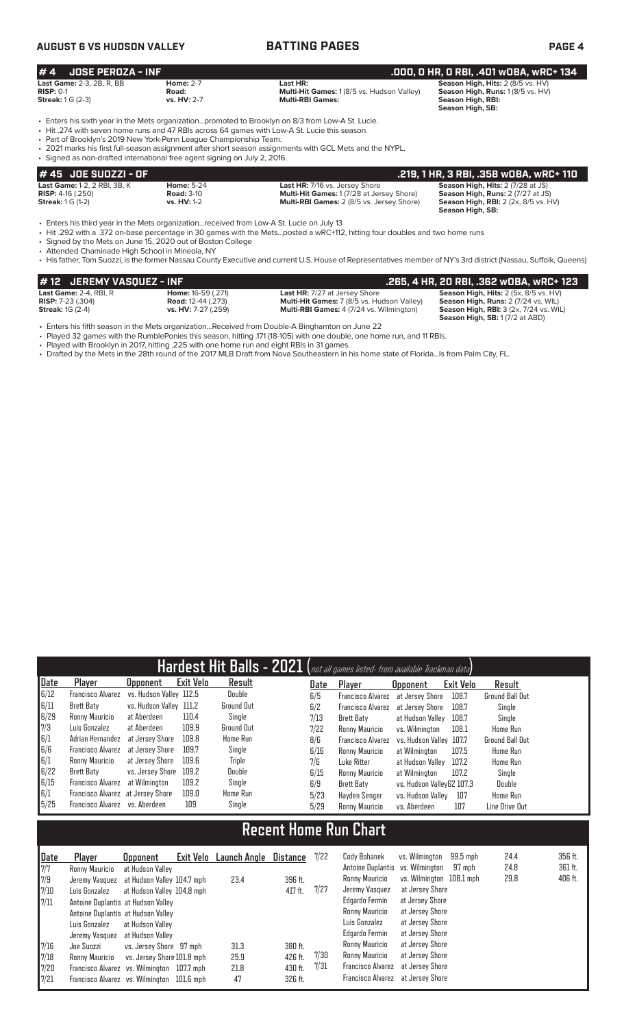# **AUGUST 6 VS HUDSON VALLEY BATTING PAGES PAGE 4**

| $# 4$ JOSE PEROZA - INF                                                     |                                          |                                                                                          | .000. 0 HR. 0 RBI. .401 w0BA. wRC+ 134                                                                                        |
|-----------------------------------------------------------------------------|------------------------------------------|------------------------------------------------------------------------------------------|-------------------------------------------------------------------------------------------------------------------------------|
| <b>Last Game:</b> 2-3. 2B. R. BB<br>$RISP: 0-1$<br><b>Streak:</b> 1 G (2-3) | <b>Home: 2-7</b><br>Road:<br>vs. HV: 2-7 | Last HR:<br><b>Multi-Hit Games: 1 (8/5 vs. Hudson Valley)</b><br><b>Multi-RBI Games:</b> | <b>Season High, Hits: 2 (8/5 vs. HV)</b><br><b>Season High, Runs: 1 (8/5 vs. HV)</b><br>Season High, RBI:<br>Season High, SB: |

• Enters his sixth year in the Mets organization...promoted to Brooklyn on 8/3 from Low-A St. Lucie.

• Hit .274 with seven home runs and 47 RBIs across 64 games with Low-A St. Lucie this season.

• Part of Brooklyn's 2019 New York-Penn League Championship Team.

• 2021 marks his first full-season assignment after short season assignments with GCL Mets and the NYPL.

| • Signed as non-drafted international free agent signing on July 2, 2016. |                    |                                                  |                                             |  |  |  |  |  |  |  |
|---------------------------------------------------------------------------|--------------------|--------------------------------------------------|---------------------------------------------|--|--|--|--|--|--|--|
| # 45 JOE SUOZZI - OF                                                      |                    |                                                  | .219, 1 HR, 3 RBI, .358 wOBA, wRC+ 110      |  |  |  |  |  |  |  |
| <b>Last Game: 1-2, 2 RBI, 3B, K</b>                                       | <b>Home: 5-24</b>  | <b>Last HR: 7/16 vs. Jersey Shore</b>            | <b>Season High, Hits: 2 (7/28 at JS)</b>    |  |  |  |  |  |  |  |
| <b>RISP:</b> $4-16$ (.250)                                                | <b>Road: 3-10</b>  | <b>Multi-Hit Games: 1 (7/28 at Jersey Shore)</b> | Season High, Runs: 2 (7/27 at JS)           |  |  |  |  |  |  |  |
| <b>Streak:</b> 1 G (1-2)                                                  | <b>vs. HV: 1-2</b> | Multi-RBI Games: 2 (8/5 vs. Jersey Shore)        | <b>Season High, RBI:</b> 2 (2x, 8/5 vs. HV) |  |  |  |  |  |  |  |
|                                                                           |                    |                                                  | Season High, SB:                            |  |  |  |  |  |  |  |

• Enters his third year in the Mets organization...received from Low-A St. Lucie on July 13

• Hit .292 with a .372 on-base percentage in 30 games with the Mets...posted a wRC+112, hitting four doubles and two home runs

• Signed by the Mets on June 15, 2020 out of Boston College

• Attended Chaminade High School in Mineola, NY

• His father, Tom Suozzi, is the former Nassau County Executive and current U.S. House of Representatives member of NY's 3rd district (Nassau, Suffolk, Queens)

| #12 JEREMY VASOUEZ - INF      |                            |                                                   | . 265, 4 HR, 20 RBI, .362 wOBA, wRC+ 123.           |
|-------------------------------|----------------------------|---------------------------------------------------|-----------------------------------------------------|
| <b>Last Game:</b> 2-4. RBI. R | <b>Home:</b> 16-59 (.271)  | <b>Last HR:</b> 7/27 at Jersey Shore              | <b>Season High, Hits:</b> $2$ (5x, $8/5$ vs. $HV$ ) |
| <b>RISP:</b> $7-23$ (.304)    | <b>Road:</b> 12-44 (.273)  | <b>Multi-Hit Games:</b> 7 (8/5 vs. Hudson Valley) | Season High, Runs: 2 (7/24 vs. WIL)                 |
| <b>Streak: 1G (2-4)</b>       | <b>vs. HV:</b> 7-27 (.259) | <b>Multi-RBI Games:</b> 4 (7/24 vs. Wilmington)   | <b>Season High, RBI: 3 (2x, 7/24 vs. WIL)</b>       |
|                               |                            |                                                   | <b>Season High, SB: 1 (7/2 at ABD)</b>              |

• Enters his fifth season in the Mets organization...Received from Double-A Binghamton on June 22

• Played 32 games with the RumblePonies this season, hitting .171 (18-105) with one double, one home run, and 11 RBIs.<br>• Played with Brooklyn in 2017, hitting .225 with one home run and eight RBIs in 31 games. • Played with Brooklyn in 2017, hitting .225 with one home run and eight RBIs in 31 games.

• Drafted by the Mets in the 28th round of the 2017 MLB Draft from Nova Southeastern in his home state of Florida...Is from Palm City, FL.

|      |                                   |                         |           |                   |      | Hardest Hit Balls - 2021 (not all games listed- from available Trackman data) |                           |           |                        |
|------|-----------------------------------|-------------------------|-----------|-------------------|------|-------------------------------------------------------------------------------|---------------------------|-----------|------------------------|
| Date | Player                            | <b>Opponent</b>         | Exit Velo | Result            | Date | Player                                                                        | <b>Opponent</b>           | Exit Velo | Result                 |
| 6/12 | <b>Francisco Alvarez</b>          | vs. Hudson Valley 112.5 |           | Double            | 6/5  | <b>Francisco Alvarez</b>                                                      | at Jersev Shore           | 108.7     | <b>Ground Ball Out</b> |
| 6/11 | <b>Brett Baty</b>                 | vs. Hudson Valley 111.2 |           | <b>Ground Out</b> | 6/2  | <b>Francisco Alvarez</b>                                                      | at Jersey Shore           | 108.7     | Single                 |
| 6/29 | Ronny Mauricio                    | at Aberdeen             | 110.4     | Single            | 7/13 | Brett Baty                                                                    | at Hudson Valley          | 108.7     | Single                 |
| 7/3  | Luis Gonzalez                     | at Aberdeen             | 109.9     | <b>Ground Out</b> | 7/22 | Ronny Mauricio                                                                | vs. Wilminaton            | 108.1     | Home Run               |
| 6/1  | Adrian Hernandez                  | at Jersey Shore         | 109.8     | Home Run          | 8/6  | <b>Francisco Alvarez</b>                                                      | vs. Hudson Valley 107.7   |           | <b>Ground Ball Out</b> |
| 6/6  | Francisco Alvarez                 | at Jersev Shore         | 109.7     | Single            | 6/16 | Ronny Mauricio                                                                | at Wilmington             | 107.5     | <b>Home Run</b>        |
| 6/1  | Ronny Mauricio                    | at Jersev Shore         | 109.6     | Triple            | 7/6  | Luke Ritter                                                                   | at Hudson Valley          | 107.2     | <b>Home Run</b>        |
| 6/22 | Brett Baty                        | vs. Jersey Shore        | 109.2     | Double            | 6/15 | Ronny Mauricio                                                                | at Wilmington             | 107.2     | Single                 |
| 6/15 | Francisco Alvarez                 | at Wilmington           | 109.2     | Single            | 6/9  | Brett Baty                                                                    | vs. Hudson VallevG2 107.3 |           | Double                 |
| 6/1  | Francisco Alvarez at Jersey Shore |                         | 109.0     | <b>Home Run</b>   | 5/23 | Havden Senger                                                                 | vs. Hudson Valley         | 107       | <b>Home Run</b>        |
| 5/25 | Francisco Alvarez vs. Aberdeen    |                         | 109       | Single            | 5/29 | Ronny Mauricio                                                                | vs. Aberdeen              | 107       | Line Drive Out         |

# **Recent Home Run Chart**

| Date | Player                                     | <b>Opponent</b>            | Exit Velo | Launch Angle | Distance | 7/22 | Cody Bohanek                     | vs. Wilmington           | $99.5$ mph | 24.4 | 356 ft. |
|------|--------------------------------------------|----------------------------|-----------|--------------|----------|------|----------------------------------|--------------------------|------------|------|---------|
| 7/7  | Ronny Mauricio                             | at Hudson Valley           |           |              |          |      | Antoine Duplantis vs. Wilmington |                          | 97 mph     | 24.8 | 361 ft. |
| 7/9  | Jeremy Vasquez at Hudson Valley 104.7 mph  |                            |           | 23.4         | 396 ft.  |      | Ronny Mauricio                   | vs. Wilminaton 108.1 mph |            | 29.8 | 406 ft. |
| 7/10 | Luis Gonzalez                              | at Hudson Valley 104.8 mph |           |              | 417 ft.  | 7/27 | Jeremy Vasquez                   | at Jersey Shore          |            |      |         |
| 7/11 | Antoine Duplantis at Hudson Valley         |                            |           |              |          |      | Edgardo Fermin                   | at Jersey Shore          |            |      |         |
|      | Antoine Duplantis at Hudson Valley         |                            |           |              |          |      | Ronny Mauricio                   | at Jersey Shore          |            |      |         |
|      | Luis Gonzalez                              | at Hudson Vallev           |           |              |          |      | Luis Gonzalez                    | at Jersey Shore          |            |      |         |
|      | Jeremy Vasquez                             | at Hudson Vallev           |           |              |          |      | Edgardo Fermin                   | at Jersey Shore          |            |      |         |
| 7/16 | Joe Suozzi                                 | vs. Jersey Shore 97 mph    |           | 31.3         | 380 ft.  |      | Ronny Mauricio                   | at Jersey Shore          |            |      |         |
| 7/18 | Ronny Mauricio                             | vs. Jersey Shore 101.8 mph |           | 25.9         | 426 ft.  | 7/30 | Ronny Mauricio                   | at Jersey Shore          |            |      |         |
| 7/20 | Francisco Alvarez vs. Wilmington 107.7 mph |                            |           | 21.8         | 430 ft.  | 7/31 | Francisco Alvarez                | at Jersey Shore          |            |      |         |
| 7/21 | Francisco Alvarez vs. Wilmington 101.6 mph |                            |           | 47           | 326 ft.  |      | Francisco Alvarez                | at Jersey Shore          |            |      |         |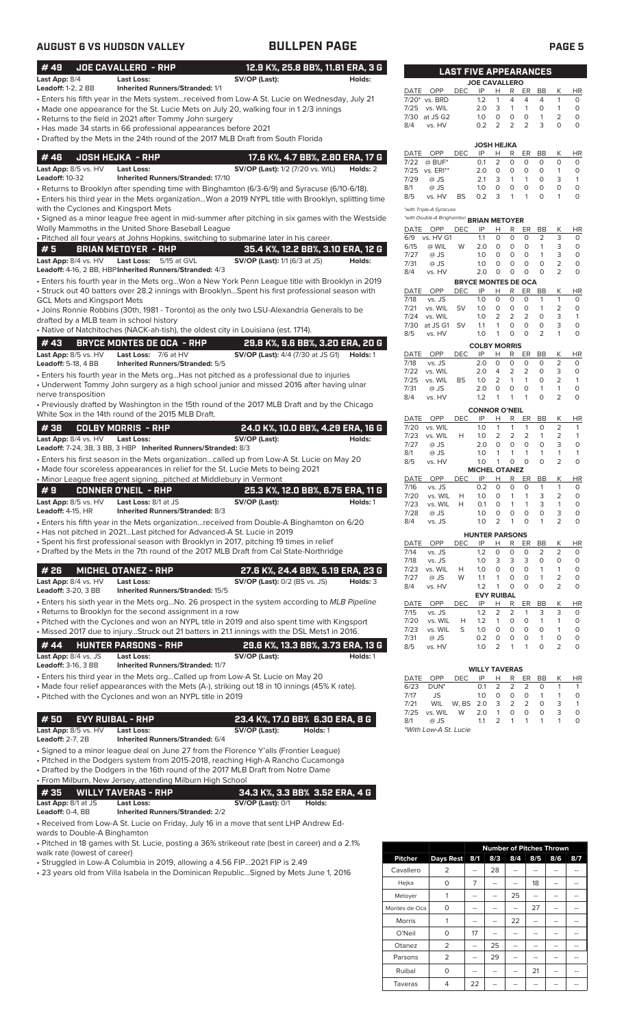# **AUGUST 6 VS HUDSON VALLEY BULLPEN PAGE PAGE 5**

| #49                                                                           | <b>JOE CAVALLERO - RHP</b>                                                                                                 | 12.9 K%, 25.8 BB%, 11.81 ERA, 3 G                                                                                                                                                                                                                             |                      |                                                     |            |                         | <b>LAST FIVE APPEARANCES</b>                                |                                                 |                                    |                                                     |                                      |
|-------------------------------------------------------------------------------|----------------------------------------------------------------------------------------------------------------------------|---------------------------------------------------------------------------------------------------------------------------------------------------------------------------------------------------------------------------------------------------------------|----------------------|-----------------------------------------------------|------------|-------------------------|-------------------------------------------------------------|-------------------------------------------------|------------------------------------|-----------------------------------------------------|--------------------------------------|
| Last App: 8/4                                                                 | <b>Last Loss:</b>                                                                                                          | SV/OP (Last):<br>Holds:                                                                                                                                                                                                                                       |                      |                                                     |            |                         | <b>JOE CAVALLERO</b>                                        |                                                 |                                    |                                                     |                                      |
| <b>Leadoff: 1-2, 2 BB</b>                                                     | <b>Inherited Runners/Stranded: 1/1</b>                                                                                     | Enters his fifth year in the Mets system…received from Low-A St. Lucie on Wednesday, July 21 •<br>• Made one appearance for the St. Lucie Mets on July 20, walking four in 1 2/3 innings                                                                      | 7/25<br>7/30         | DATE OPP<br>7/20* vs. BRD<br>vs. WIL<br>at JS G2    | <b>DEC</b> | IP<br>1.2<br>2.0<br>1.0 | н<br>R<br>4<br>1<br>3<br>$\mathbf{1}$<br>$\mathbf 0$<br>0   | ER<br>$\overline{4}$<br>$\mathbf{1}$<br>$\circ$ | BB<br>4<br>$\circ$<br>$\mathbf{1}$ | К<br>$\mathbf{1}$<br>$\mathbf{1}$<br>$\overline{2}$ | <b>HR</b><br>0<br>$\circ$<br>$\circ$ |
|                                                                               | Returns to the field in 2021 after Tommy John surgery •<br>Has made 34 starts in 66 professional appearances before 2021 • | • Drafted by the Mets in the 24th round of the 2017 MLB Draft from South Florida                                                                                                                                                                              | 8/4                  | vs. HV                                              |            | 0.2                     | $\overline{2}$<br>2<br><b>JOSH HEJKA</b>                    | $\overline{2}$                                  | 3                                  | 0                                                   | 0                                    |
| #46                                                                           | <b>JOSH HEJKA - RHP</b>                                                                                                    | 17.6 K%, 4.7 BB%, 2.80 ERA, 17 G                                                                                                                                                                                                                              | DATE                 | OPP                                                 | <b>DEC</b> | IP                      | Н<br>R                                                      | ER                                              | BB                                 | К                                                   | HR                                   |
| Last App: 8/5 vs. HV<br><b>Leadoff: 10-32</b>                                 | <b>Last Loss:</b><br><b>Inherited Runners/Stranded: 17/10</b>                                                              | <b>SV/OP (Last):</b> 1/2 (7/20 vs. WIL)<br>Holds: 2                                                                                                                                                                                                           | 7/22<br>7/29         | $@$ BUF*<br>7/25 vs. ERI**<br>@ JS                  |            | 0.1<br>2.0<br>2.1       | 2<br>0<br>$\circ$<br>0<br>3<br>$\mathbf{1}$                 | 0<br>0<br>$\mathbf{1}$                          | 0<br>$\circ$<br>0                  | $\circ$<br>$\mathbf{1}$<br>3                        | 0<br>$\circ$<br>$\mathbf{1}$         |
| with the Cyclones and Kingsport Mets                                          |                                                                                                                            | • Returns to Brooklyn after spending time with Binghamton (6/3-6/9) and Syracuse (6/10-6/18).<br>Enters his third year in the Mets organizationWon a 2019 NYPL title with Brooklyn, splitting time                                                            | 8/1<br>8/5           | @ JS<br>vs. HV<br>*with Triple-A Syracuse           | <b>BS</b>  | 1.0<br>0.2              | $\circ$<br>$\circ$<br>3<br>1                                | $\circ$<br>$\mathbf{1}$                         | $\circ$<br>$\circ$                 | 0<br>$\mathbf{1}$                                   | 0<br>0                               |
|                                                                               | Wolly Mammoths in the United Shore Baseball League                                                                         | Signed as a minor league free agent in mid-summer after pitching in six games with the Westside •                                                                                                                                                             |                      | *with Double-A Binghamton BRIAN METOYER<br>DATE OPP | <b>DEC</b> | IP                      | Н<br>R                                                      | ER                                              | BB                                 | Κ                                                   | HR                                   |
|                                                                               |                                                                                                                            | · Pitched all four years at Johns Hopkins, switching to submarine later in his career.                                                                                                                                                                        | 6/9                  | vs. HV G1                                           |            | 1.1                     | $\circ$<br>$\mathbf 0$                                      | $\circ$                                         | $\overline{2}$                     | 3                                                   | 0                                    |
| #5                                                                            | <b>BRIAN METOYER - RHP</b>                                                                                                 | 35.4 K%, 12.2 BB%, 3.10 ERA, 12 G                                                                                                                                                                                                                             | 6/15<br>7/27         | @ WIL<br>@ JS                                       | W          | 2.0<br>1.0              | $\circ$<br>$\circ$<br>$\circ$<br>$\circ$                    | $\circ$<br>$\circ$                              | $\mathbf{1}$<br>$\mathbf{1}$       | 3<br>3                                              | 0<br>$\circ$                         |
| Last App: 8/4 vs. HV                                                          | Last Loss: 5/15 at GVL<br>Leadoff: 4-16, 2 BB, HBP Inherited Runners/Stranded: 4/3                                         | SV/OP (Last): 1/1 (6/3 at JS)<br>Holds:<br>Enters his fourth year in the Mets orgWon a New York Penn League title with Brooklyn in 2019 .                                                                                                                     | 7/31<br>8/4          | @ JS<br>vs. HV                                      |            | 1.0<br>2.0              | $\circ$<br>$\circ$<br>0<br>0<br><b>BRYCE MONTES DE OCA</b>  | $\circ$<br>$\circ$                              | $\circ$<br>$\mathbf 0$             | $\overline{2}$<br>$\overline{2}$                    | $\circ$<br>$\circ$                   |
|                                                                               |                                                                                                                            | Struck out 40 batters over 28.2 innings with BrooklynSpent his first professional season with                                                                                                                                                                 |                      | DATE OPP                                            | <b>DEC</b> | IP                      | H<br>R                                                      | ER                                              | BB                                 | К                                                   | <b>HR</b>                            |
| <b>GCL Mets and Kingsport Mets</b><br>drafted by a MLB team in school history |                                                                                                                            | • Joins Ronnie Robbins (30th, 1981 - Toronto) as the only two LSU-Alexandria Generals to be                                                                                                                                                                   | 7/18<br>7/21<br>7/24 | vs. JS<br>vs. WIL<br>vs. WIL                        | <b>SV</b>  | 1.0<br>1.0<br>1.0       | $\mathbf 0$<br>0<br>0<br>0<br>2<br>2                        | 0<br>0<br>2                                     | $\mathbf{1}$<br>1<br>$\circ$       | $\mathbf{1}$<br>2<br>3                              | $\circ$<br>0<br>$\mathbf{1}$         |
|                                                                               |                                                                                                                            | • Native of Natchitoches (NACK-ah-tish), the oldest city in Louisiana (est. 1714).                                                                                                                                                                            | 7/30<br>8/5          | at JS G1 SV<br>vs. HV                               |            | 1.1<br>1.0              | $\mathbf{1}$<br>0<br>0<br>1                                 | $\circ$<br>$\circ$                              | $\circ$<br>2                       | 3<br>$\mathbf{1}$                                   | $\circ$<br>0                         |
| #43                                                                           | BRYCE MONTES DE OCA - RHP                                                                                                  | 29.8 K%, 9.6 BB%, 3.20 ERA, 20 G                                                                                                                                                                                                                              |                      |                                                     |            |                         | <b>COLBY MORRIS</b>                                         |                                                 |                                    |                                                     |                                      |
| Last App: 8/5 vs. HV<br><b>Leadoff:</b> 5-18, 4 BB                            | Last Loss: 7/6 at HV<br><b>Inherited Runners/Stranded: 5/5</b>                                                             | <b>SV/OP (Last):</b> 4/4 (7/30 at JS G1)<br>Holds: 1                                                                                                                                                                                                          | DATE<br>7/18         | OPP<br>vs. JS                                       | <b>DEC</b> | IP<br>2.0               | Н<br>R<br>0<br>0                                            | ER<br>0                                         | BB<br>0                            | К<br>2                                              | <b>HR</b><br>0                       |
|                                                                               |                                                                                                                            | $\bullet$ Enters his fourth year in the Mets orgHas not pitched as a professional due to injuries                                                                                                                                                             | 7/22                 | vs. WIL                                             |            | 2.0                     | 4<br>2                                                      | 2                                               | 0                                  | 3                                                   | $\circ$                              |
|                                                                               |                                                                                                                            | • Underwent Tommy John surgery as a high school junior and missed 2016 after having ulnar                                                                                                                                                                     | 7/25<br>7/31         | vs. WIL<br>@ JS                                     | <b>BS</b>  | 1.0<br>2.0              | $\overline{2}$<br>$\mathbf{1}$<br>0<br>0                    | 1<br>0                                          | $\Omega$<br>$\mathbf{1}$           | $\overline{2}$<br>$\mathbf{1}$                      | $\mathbf{1}$<br>$\circ$              |
| nerve transposition                                                           | White Sox in the 14th round of the 2015 MLB Draft.                                                                         | . Previously drafted by Washington in the 15th round of the 2017 MLB Draft and by the Chicago                                                                                                                                                                 | 8/4                  | vs. HV                                              |            | 1.2                     | $\mathbf{1}$<br>1<br><b>CONNOR O'NEIL</b>                   | 1                                               | $\circ$                            | 2                                                   | 0                                    |
| #38                                                                           | <b>COLBY MORRIS - RHP</b>                                                                                                  | 24.0 K%, 10.0 BB%, 4.29 ERA, 16 G                                                                                                                                                                                                                             | DATE<br>7/20         | OPP<br>vs. WIL                                      | <b>DEC</b> | IP<br>1.0               | н<br>R<br>$\mathbf{1}$<br>1                                 | ER<br>$\mathbf{1}$                              | BB<br>$\mathbf 0$                  | Κ<br>$\overline{2}$                                 | HR<br>1                              |
| Last App: 8/4 vs. HV                                                          | <b>Last Loss:</b><br>Leadoff: 7-24, 3B, 3 BB, 3 HBP Inherited Runners/Stranded: 8/3                                        | SV/OP (Last):<br>Holds:                                                                                                                                                                                                                                       | 7/23<br>7/27<br>8/1  | vs. WIL<br>@ JS<br>@ JS                             | H          | 1.0<br>2.0<br>1.0       | $\overline{2}$<br>2<br>$\circ$<br>0<br>$\mathbf{1}$<br>1    | $\overline{2}$<br>$\circ$<br>$\mathbf{1}$       | 1<br>$\mathbf 0$<br>1              | 2<br>3<br>$\mathbf{1}$                              | 1<br>$\circ$<br>1                    |
|                                                                               | • Minor League free agent signingpitched at Middlebury in Vermont                                                          | Enters his first season in the Mets organizationcalled up from Low-A St. Lucie on May 20 •<br>• Made four scoreless appearances in relief for the St. Lucie Mets to being 2021                                                                                | 8/5<br>DATE          | vs. HV<br>OPP                                       | <b>DEC</b> | 1.0<br>IP               | $\mathbf{1}$<br>0<br><b>MICHEL OTANEZ</b><br>R<br>н         | $\circ$<br>ER                                   | $\circ$<br>BB                      | $\overline{2}$<br>Κ                                 | $\circ$<br>HR                        |
| #9                                                                            | CONNER O'NEIL  - RHP                                                                                                       | 25.3 K%, 12.0 BB%, 6.75 ERA, 11 G                                                                                                                                                                                                                             | 7/16                 | vs. JS                                              |            | 0.2                     | $\circ$<br>0<br>$\circ$<br>1                                | 0<br>$\mathbf{1}$                               | $\mathbf{1}$<br>3                  | $\mathbf{1}$<br>2                                   | 0<br>0                               |
| Last App: 8/5 vs. HV<br><b>Leadoff:</b> 4-15, HR                              | Last Loss: 8/1 at JS<br>Inherited Runners/Stranded: 8/3                                                                    | SV/OP (Last):<br>Holds: 1                                                                                                                                                                                                                                     | 7/20<br>7/23<br>7/28 | vs. WIL<br>vs. WIL<br>@ JS                          | H<br>H     | 1.0<br>0.1<br>1.0       | $\Omega$<br>1<br>$\circ$<br>0                               | $\mathbf{1}$<br>0                               | 3<br>$\mathsf{O}\xspace$           | 1<br>3                                              | $\circ$<br>0                         |
|                                                                               | • Has not pitched in 2021Last pitched for Advanced-A St. Lucie in 2019                                                     | • Enters his fifth year in the Mets organization…received from Double-A Binghamton on 6/20<br>Spent his first professional season with Brooklyn in 2017, pitching 19 times in relief                                                                          | 8/4<br>DATE          | vs. JS<br>OPP                                       | DEC        | 1.0<br>IP               | 2<br>$\mathbf{1}$<br><b>HUNTER PARSONS</b><br><u>н</u><br>R | 0<br>ER                                         | $\mathbf{1}$<br>BB                 | $\overline{2}$<br>Κ                                 | 0<br><u>HR</u>                       |
|                                                                               |                                                                                                                            | • Drafted by the Mets in the 7th round of the 2017 MLB Draft from Cal State-Northridge                                                                                                                                                                        | 7/14                 | vs. JS                                              |            | 1.2                     | 0<br>0                                                      | 0                                               | 2                                  | 2                                                   | 0                                    |
| # 26                                                                          | <b>MICHEL OTANEZ - RHP</b>                                                                                                 | 27.6 K%, 24.4 BB%, 5.19 ERA, 23 G                                                                                                                                                                                                                             | 7/18<br>7/23         | vs. JS<br>vs. WIL                                   | Н          | 1.0<br>1.0              | 3<br>3<br>0<br>0                                            | 3<br>0                                          | 0<br>1                             | 0<br>1                                              | $\circ$<br>0                         |
| Last App: 8/4 vs. HV<br><b>Leadoff:</b> 3-20, 3 BB                            | <b>Last Loss:</b><br>Inherited Runners/Stranded: 15/5                                                                      | <b>SV/OP (Last): 0/2 (BS vs. JS)</b><br>Holds: 3                                                                                                                                                                                                              | 7/27<br>8/4          | @ JS<br>vs. HV                                      | W          | 1.1<br>1.2              | 0<br>1<br>0<br>1<br><b>EVY RUIBAL</b>                       | 0<br>0                                          | 1<br>0                             | 2<br>$\overline{2}$                                 | 0<br>0                               |
|                                                                               | • Returns to Brooklyn for the second assignment in a row                                                                   | • Enters his sixth year in the Mets orgNo. 26 prospect in the system according to MLB Pipeline                                                                                                                                                                | DATE<br>7/15         | OPP<br>vs. JS                                       | DEC        | IP<br>1.2               | Н<br>R<br>$\overline{2}$<br>2                               | ER<br>$\mathbf{1}$                              | BB<br>3                            | Κ<br>3                                              | <u>HR</u><br>0                       |
|                                                                               |                                                                                                                            | • Pitched with the Cyclones and won an NYPL title in 2019 and also spent time with Kingsport                                                                                                                                                                  | 7/20                 | vs. WIL                                             | Н          | 1.2                     | 1<br>0                                                      | 0                                               | $\mathbf{1}$                       | 1                                                   | 0                                    |
|                                                                               |                                                                                                                            | • Missed 2017 due to injuryStruck out 21 batters in 21.1 innings with the DSL Mets1 in 2016.                                                                                                                                                                  | 7/23<br>7/31         | vs. WIL<br>@ JS                                     | S          | 1.0<br>0.2              | $\mathbf 0$<br>0<br>0<br>0                                  | 0<br>0                                          | $\circ$<br>$\mathbf{1}$            | 1<br>0                                              | 0<br>0                               |
| #44<br>Last App: 8/4 vs. JS<br><b>Leadoff:</b> 3-16, 3 BB                     | <b>HUNTER PARSONS - RHP</b><br><b>Last Loss:</b><br><b>Inherited Runners/Stranded: 11/7</b>                                | 29.6 K%, 13.3 BB%, 3.73 ERA, 13 G<br>SV/OP (Last):<br>Holds: 1                                                                                                                                                                                                | 8/5                  | vs. HV                                              |            | 1.0                     | $\overline{2}$<br>$\mathbf{1}$                              | $\mathbf{1}$                                    | 0                                  | 2                                                   | 0                                    |
|                                                                               |                                                                                                                            | • Enters his third year in the Mets orgCalled up from Low-A St. Lucie on May 20                                                                                                                                                                               | <b>DATE</b>          | OPP                                                 | <b>DEC</b> | IP                      | <b>WILLY TAVERAS</b><br>Н<br>$\mathsf{R}$                   | ER                                              | BB                                 | K                                                   | $\overline{HR}$                      |
|                                                                               | • Pitched with the Cyclones and won an NYPL title in 2019                                                                  | • Made four relief appearances with the Mets (A-), striking out 18 in 10 innings (45% K rate).                                                                                                                                                                | 6/23<br>7/17<br>7/21 | DUN <sup>*</sup><br>JS<br>WIL                       | W, BS      | 0.1<br>1.0<br>2.0       | $\overline{2}$<br>2<br>0<br>0<br>2<br>3                     | $\overline{2}$<br>0<br>$\overline{2}$           | 0<br>$\mathbf{1}$<br>0             | $\mathbf{1}$<br>1<br>3                              | 1<br>0<br>$\mathbf{1}$               |
| #50                                                                           | <b>EVY RUIBAL - RHP</b>                                                                                                    | 23.4 K%, 17.0 BB% 6.30 ERA, 8 G                                                                                                                                                                                                                               | 7/25                 | vs. WIL                                             | W          | 2.0                     | $\mathbf{1}$<br>0                                           | 0                                               | 0                                  | 3                                                   | 0                                    |
| Last App: 8/5 vs. HV<br>Leadoff: 2-7, 2B                                      | <b>Last Loss:</b><br>Inherited Runners/Stranded: 6/4                                                                       | SV/OP (Last):<br>Holds: 1                                                                                                                                                                                                                                     | 8/1                  | @ JS<br>*With Low-A St. Lucie                       |            | 1.1                     | 2<br>1                                                      | 1                                               | $\mathbf{1}$                       | $\mathbf{1}$                                        | 0                                    |
|                                                                               | • From Milburn, New Jersey, attending Milburn High School                                                                  | • Signed to a minor league deal on June 27 from the Florence Y'alls (Frontier League)<br>• Pitched in the Dodgers system from 2015-2018, reaching High-A Rancho Cucamonga<br>• Drafted by the Dodgers in the 16th round of the 2017 MLB Draft from Notre Dame |                      |                                                     |            |                         |                                                             |                                                 |                                    |                                                     |                                      |
| #35                                                                           | <b>WILLY TAVERAS - RHP</b>                                                                                                 | 34.3 K%, 3.3 BB% 3.52 ERA, 4 G                                                                                                                                                                                                                                |                      |                                                     |            |                         |                                                             |                                                 |                                    |                                                     |                                      |
| Last App: 8/1 at JS<br>Leadoff: 0-4, BB                                       | <b>Last Loss:</b><br><b>Inherited Runners/Stranded: 2/2</b>                                                                | <b>SV/OP (Last): 0/1</b><br>Holds:                                                                                                                                                                                                                            |                      |                                                     |            |                         |                                                             |                                                 |                                    |                                                     |                                      |
| wards to Double-A Binghamton                                                  |                                                                                                                            | • Received from Low-A St. Lucie on Friday, July 16 in a move that sent LHP Andrew Ed-                                                                                                                                                                         |                      |                                                     |            |                         |                                                             |                                                 |                                    |                                                     |                                      |

• Pitched in 18 games with St. Lucie, posting a 36% strikeout rate (best in career) and a 2.1% walk rate (lowest of career)

• Struggled in Low-A Columbia in 2019, allowing a 4.56 FIP...2021 FIP is 2.49

• 23 years old from Villa Isabela in the Dominican Republic...Signed by Mets June 1, 2016

|                |                  | <b>Number of Pitches Thrown</b> |     |     |     |     |     |  |  |  |
|----------------|------------------|---------------------------------|-----|-----|-----|-----|-----|--|--|--|
| <b>Pitcher</b> | <b>Days Rest</b> | 8/1                             | 8/3 | 8/4 | 8/5 | 8/6 | 8/7 |  |  |  |
| Cavallero      | 2                |                                 | 28  |     |     |     |     |  |  |  |
| Hejka          | 0                | 7                               | --  |     | 18  | --  |     |  |  |  |
| Metoyer        | 1                | --                              | --  | 25  | --  | --  |     |  |  |  |
| Montes de Oca  | 0                | --                              | --  |     | 27  | --  |     |  |  |  |
| Morris         | 1                |                                 |     | 22  |     |     |     |  |  |  |
| O'Neil         | 0                | 17                              |     |     | --  |     |     |  |  |  |
| Otanez         | 2                | --                              | 25  |     | --  |     |     |  |  |  |
| Parsons        | 2                | --                              | 29  |     | --  | --  |     |  |  |  |
| Ruibal         | 0                | --                              | --  |     | 21  | --  |     |  |  |  |
| Taveras        | 4                | 22                              |     |     |     |     |     |  |  |  |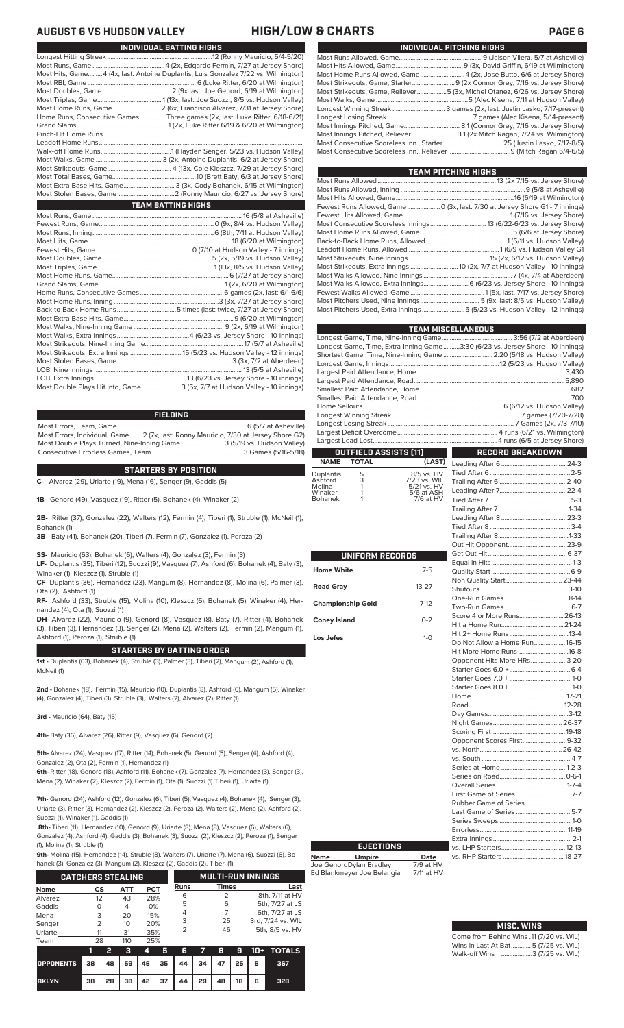## **AUGUST 6 VS HUDSON VALLEY HIGH/LOW & CHARTS PAGE 6**

| Most Hits, Game4 (4x, last: Antoine Duplantis, Luis Gonzalez 7/22 vs. Wilmington) |
|-----------------------------------------------------------------------------------|
|                                                                                   |
|                                                                                   |
|                                                                                   |
|                                                                                   |
| Home Runs, Consecutive Games Three games (2x, last: Luke Ritter, 6/18-6/21)       |
|                                                                                   |
|                                                                                   |
|                                                                                   |
|                                                                                   |
|                                                                                   |
|                                                                                   |
|                                                                                   |
| Most Extra-Base Hits, Game 3 (3x, Cody Bohanek, 6/15 at Wilmington)               |
|                                                                                   |
| <b>TEAM BATTING HIGHS</b>                                                         |
|                                                                                   |
|                                                                                   |
|                                                                                   |
|                                                                                   |
|                                                                                   |

**INDIVIDUAL BATTING HIGHS**

| Most Double Plays Hit into, Game3 (5x, 7/7 at Hudson Valley - 10 innings) |  |
|---------------------------------------------------------------------------|--|

## **FIELDING**

Most Errors, Team, Game...............................................................................6 (5/7 at Asheville) Most Errors, Individual, Game....... 2 (7x, last: Ronny Mauricio, 7/30 at Jersey Shore G2) Most Double Plays Turned, Nine-Inning Game.......................... 3 (5/19 vs. Hudson Valley) Consecutive Errorless Games, Team...

## **STARTERS BY POSITION**

**C-** Alvarez (29), Uriarte (19), Mena (16), Senger (9), Gaddis (5)

**1B-** Genord (49), Vasquez (19), Ritter (5), Bohanek (4), Winaker (2)

**2B-** Ritter (37), Gonzalez (22), Walters (12), Fermin (4), Tiberi (1), Struble (1), McNeil (1), Bohanek (1)

**3B-** Baty (41), Bohanek (20), Tiberi (7), Fermin (7), Gonzalez (1), Peroza (2)

**SS-** Mauricio (63), Bohanek (6), Walters (4), Gonzalez (3), Fermin (3)

**LF-** Duplantis (35), Tiberi (12), Suozzi (9), Vasquez (7), Ashford (6), Bohanek (4), Baty (3), Winaker (1), Kleszcz (1), Struble (1)

**CF-** Duplantis (36), Hernandez (23), Mangum (8), Hernandez (8), Molina (6), Palmer (3), Ota (2), Ashford (1)

**RF-** Ashford (33), Struble (15), Molina (10), Kleszcz (6), Bohanek (5), Winaker (4), Hernandez (4), Ota (1), Suozzi (1)

**DH-** Alvarez (22), Mauricio (9), Genord (8), Vasquez (8), Baty (7), Ritter (4), Bohanek (3), Tiberi (3), Hernandez (3), Senger (2), Mena (2), Walters (2), Fermin (2), Mangum (1), Ashford (1), Peroza (1), Struble (1)

## **STARTERS BY BATTING ORDER**

**1st -** Duplantis (63), Bohanek (4), Struble (3), Palmer (3), Tiberi (2), Mangum (2), Ashford (1), McNeil (1)

**2nd -** Bohanek (18), Fermin (15), Mauricio (10), Duplantis (8), Ashford (6), Mangum (5), Winaker (4), Gonzalez (4), Tiberi (3), Struble (3), Walters (2), Alvarez (2), Ritter (1)

**3rd -** Mauricio (64), Baty (15)

**4th-** Baty (36), Alvarez (26), Ritter (9), Vasquez (6), Genord (2)

**5th-** Alvarez (24), Vasquez (17), Ritter (14), Bohanek (5), Genord (5), Senger (4), Ashford (4), Gonzalez (2), Ota (2), Fermin (1), Hernandez (1)

**6th-** Ritter (18), Genord (18), Ashford (11), Bohanek (7), Gonzalez (7), Hernandez (3), Senger (3), Mena (2), Winaker (2), Kleszcz (2), Fermin (1), Ota (1), Suozzi (1) Tiberi (1), Uriarte (1)

**7th-** Genord (24), Ashford (12), Gonzalez (6), Tiberi (5), Vasquez (4), Bohanek (4), Senger (3), Uriarte (3), Ritter (3), Hernandez (2), Kleszcz (2), Peroza (2), Walters (2), Mena (2), Ashford (2), Suozzi (1), Winaker (1), Gaddis (1)

**8th-** Tiberi (11), Hernandez (10), Genord (9), Uriarte (8), Mena (8), Vasquez (6), Walters (6), Gonzalez (4), Ashford (4), Gaddis (3), Bohanek (3), Suozzi (2), Kleszcz (2), Peroza (1), Senger (1), Molina (1), Struble (1)

**9th-** Molina (15), Hernandez (14), Struble (8), Walters (7), Uriarte (7), Mena (6), Suozzi (6), Bo-

|  | hanek (3), Gonzalez (3), Mangum (2), Kleszcz (2), Gaddis (2), Tiberi (1) |  |  |
|--|--------------------------------------------------------------------------|--|--|
|  |                                                                          |  |  |

|         | <b>CATCHERS STEALING</b> |     |            | <b>MULTI-RUN INNINGS</b> |              |                   |  |
|---------|--------------------------|-----|------------|--------------------------|--------------|-------------------|--|
| Name    | CS                       | АТТ | <b>PCT</b> | Runs                     | <b>Times</b> | Last              |  |
| Alvarez | 12                       | 43  | 28%        | 6                        |              | 8th, 7/11 at HV   |  |
| Gaddis  | O                        | 4   | 0%         | 5                        | 6            | 5th, 7/27 at JS   |  |
| Mena    | 3                        | 20  | 15%        | 4                        |              | 6th, 7/27 at JS   |  |
| Senger  | 2                        | 10  | 20%        | 3                        | 25           | 3rd, 7/24 vs. WIL |  |
| Uriarte | 11                       | 31  | 35%        | 2                        | 46           | 5th, 8/5 vs. HV   |  |
| Team    | 28                       | 110 | 25%        |                          |              |                   |  |

|                                        |    | - 2- |  |                           |  |  | 3 4 5 6 7 8 9 10 + TOTALS |
|----------------------------------------|----|------|--|---------------------------|--|--|---------------------------|
| OPPONENTS 38 48 59 46 35 44 34 47 25 5 |    |      |  |                           |  |  | 367                       |
| <b>BKLYN</b>                           | 38 |      |  | 28 38 42 37 44 29 48 18 6 |  |  | 328                       |

| INDIVIDUAL PITCHING HIGHS                                                   |
|-----------------------------------------------------------------------------|
|                                                                             |
|                                                                             |
|                                                                             |
|                                                                             |
| Most Strikeouts, Game, Reliever5 (3x, Michel Otanez, 6/26 vs. Jersey Shore) |
|                                                                             |
| Longest Winning Streak  3 games (2x, last: Justin Lasko, 7/17-present)      |
|                                                                             |
|                                                                             |
|                                                                             |
|                                                                             |
|                                                                             |

**TEAM PITCHING HIGH** 

| <b>Service Service</b><br>TEAW FILOHING HIGHO                                |  |
|------------------------------------------------------------------------------|--|
|                                                                              |  |
|                                                                              |  |
|                                                                              |  |
| Fewest Runs Allowed, Game  0 (3x, last: 7/30 at Jersey Shore G1 - 7 innings) |  |
|                                                                              |  |
|                                                                              |  |
|                                                                              |  |
|                                                                              |  |
|                                                                              |  |
|                                                                              |  |
|                                                                              |  |
|                                                                              |  |
| Most Walks Allowed, Extra Innings 6 (6/23 vs. Jersey Shore - 10 innings)     |  |
|                                                                              |  |
|                                                                              |  |
| Most Pitchers Used, Extra Innings 5 (5/23 vs. Hudson Valley - 12 innings)    |  |
|                                                                              |  |

|                                                                                | <b>TEAM MISCELLANEOUS</b> |
|--------------------------------------------------------------------------------|---------------------------|
|                                                                                |                           |
| Longest Game, Time, Extra-Inning Game3:30 (6/23 vs. Jersey Shore - 10 innings) |                           |
| Shortest Game, Time, Nine-Inning Game  2:20 (5/18 vs. Hudson Valley)           |                           |
|                                                                                |                           |
|                                                                                |                           |
|                                                                                |                           |
|                                                                                |                           |
|                                                                                |                           |
|                                                                                |                           |
|                                                                                |                           |
|                                                                                |                           |
|                                                                                |                           |
|                                                                                |                           |
| OUTFIELD ASSISTS [11]                                                          | RECORD BREAKDOWN          |

# **NAME TOTAL (LAST)**

| Duplantis | 5 | 8/5 vs. HV   |
|-----------|---|--------------|
| Ashford   | 3 | 7/23 vs. WIL |
| Molina    |   | 5/21 vs. HV  |
| Winaker   |   | 5/6 at ASH   |
| Bohanek   |   | 7/6 at HV    |
|           |   |              |

|                          |           | $\overline{\phantom{a}}$<br>$\overline{\phantom{a}}$ |
|--------------------------|-----------|------------------------------------------------------|
| UNIFORM RECORDS          |           | E                                                    |
| <b>Home White</b>        | $7 - 5$   | Ó                                                    |
| <b>Road Gray</b>         | $13 - 27$ | ľ                                                    |
| <b>Championship Gold</b> | $7-12$    | $\frac{1}{2}$                                        |
| <b>Coney Island</b>      | $0 - 2$   |                                                      |
| Los Jefes                | $1-0$     | ŀ<br>I                                               |
|                          |           | ŀ                                                    |
|                          |           | C - - - - - - - - -                                  |
|                          |           |                                                      |
|                          |           |                                                      |
|                          |           |                                                      |
|                          |           | F                                                    |
|                          |           | ľ<br>ľ                                               |
|                          |           | $\ddot{\phantom{0}}$                                 |
|                          |           |                                                      |
|                          |           |                                                      |
|                          |           |                                                      |
|                          |           | )<br>10.10                                           |
|                          |           |                                                      |
|                          |           | F                                                    |
|                          |           | F<br>l                                               |
|                          |           | í                                                    |

**Name Umpire Date** Joe GenordDylan Bradley 7/9 at HV Ed Blankmeyer Joe Belangia 7/11 at HV

**EJECTIONS**

## Trailing After 6 ........................................ 2-40 Leading After 7.........................................22-4 Tied After 7. Trailing After 7...........................................1-34 Leading After 8 ........................................23-3 Tied After 8................................................. 3-4 Trailing After 8...........................................1-33 Out Hit Opponent. Get Out Hit................................................6-37 Equal in Hits.................................................1-3 Quality Start ................................................6-9 Non Quality Start.................................. 23-44 Shutouts......................................................3-10 One-Run Games .......................................8-14 Two-Run Games ........................................ 6-7 Score 4 or More Runs.. Hit a Home Run......................................21-24 Hit 2+ Home Runs. Do Not Allow a Home Run....................16-15<br>Hit More Home Runs ..............................16-8 Hit More Home Runs ..............................16-8 Opponent Hits More HRs. Starter Goes 6.0 +.....................................6-4 Starter Goes 7.0 + ......................................1-0 Starter Goes 8.0 + ......................................1-0 Home......................................................... 17-21 Road.. Day Games.................................................3-12 Night Games.......................................... 26-37 Scoring First.............................................19-18 Opponent Scores First.................................9-32<br>Se-42 - 26-42 . . .<br>.s. North vs. South ...................................................... 4-7 Series at Home .<mark>.</mark> Series on Road........................................0-6-1 Overall Series...........................................1-7-4 First Game of Series Rubber Game of Series ...................................<br>Last Game of Series ................................... 5-7 Last Game of Series ................................. 5-7 Series Sweeps ............................................1-0  $\frac{11-19}{2-1}$ Extra Innings ................................................2-1  $12 - 13$  $18 - 27$

Leading After 6........................................24-3 Tied After 6.................................................2-5

## Come from Behind Wins .11 (7/20 vs. WIL)<br>Wins in Last At-Bat............ 5 (7/25 vs. WIL) Wins in Last At-Bat........... **MISC. WINS**

Walk-off Wins ...................3 (7/25 vs. WIL)

|    | LUJI OUNIC VI JUNUJ |
|----|---------------------|
|    | Series Sweeps       |
|    |                     |
| L, | Extra Innings       |
|    | vs. LHP Starters    |
|    | vs. RHP Starters    |
|    |                     |
|    |                     |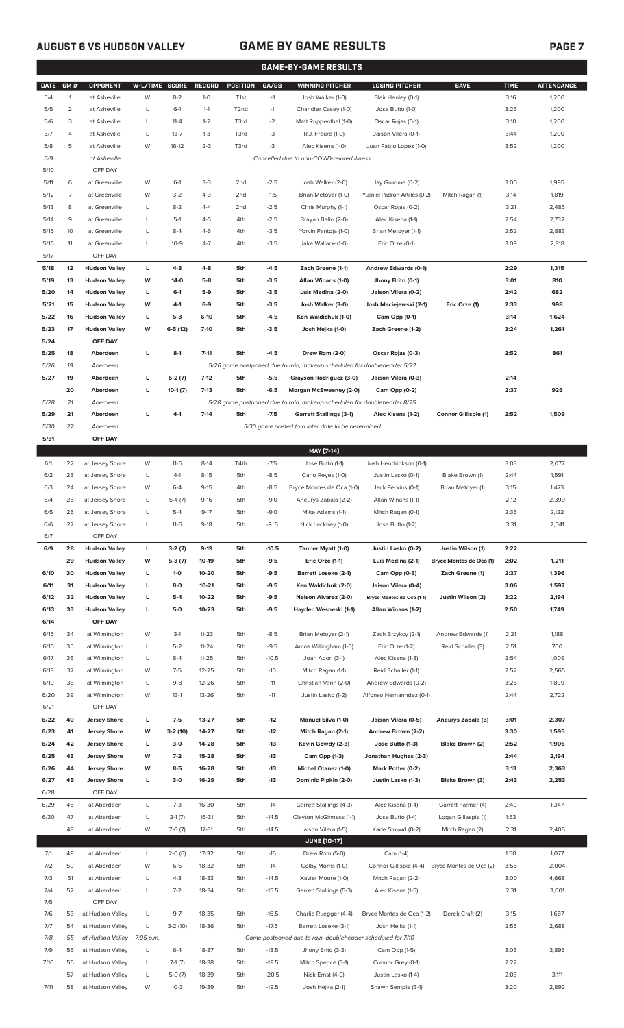## **AUGUST 6 VS HUDSON VALLEY GAME BY GAME RESULTS PAGE 7**

| <b>GAME-BY-GAME RESULTS</b> |                |                            |                |                     |                |                   |                |                                                                         |                                     |                             |              |                   |
|-----------------------------|----------------|----------------------------|----------------|---------------------|----------------|-------------------|----------------|-------------------------------------------------------------------------|-------------------------------------|-----------------------------|--------------|-------------------|
| <b>DATE</b>                 | GM#            | OPPONENT                   | W-L/TIME SCORE |                     | <b>RECORD</b>  | POSITION          | GA/GB          | <b>WINNING PITCHER</b>                                                  | <b>LOSING PITCHER</b>               | <b>SAVE</b>                 | <b>TIME</b>  | <b>ATTENDANCE</b> |
| 5/4                         | $\mathbf{1}$   | at Asheville               | W              | $8 - 2$             | $1 - 0$        | T <sub>1st</sub>  | $+1$           | Josh Walker (1-0)                                                       | Blair Henley (0-1)                  |                             | 3:16         | 1,200             |
| 5/5                         | $\overline{c}$ | at Asheville               | L              | $6-1$               | $1 - 1$        | T <sub>2</sub> nd | $-1$           | Chandler Casey (1-0)                                                    | Jose Butto (1-0)                    |                             | 3:26         | 1,200             |
| 5/6                         | 3              | at Asheville               | L              | $11 - 4$            | $1 - 2$        | T3rd              | $-2$           | Matt Ruppenthal (1-0)                                                   | Oscar Rojas (0-1)                   |                             | 3:10         | 1,200             |
| 5/7                         | 4              | at Asheville               | L              | $13 - 7$            | $1 - 3$        | T3rd              | -3             | R.J. Freure (1-0)                                                       | Jaison Vilera (0-1)                 |                             | 3:44         | 1,200             |
| 5/8                         | 5              | at Asheville               | W              | $16-12$             | $2 - 3$        | T3rd              | -3             | Alec Kisena (1-0)                                                       | Juan Pablo Lopez (1-0)              |                             | 3:52         | 1,200             |
| 5/9                         |                | at Asheville               |                |                     |                |                   |                | Cancelled due to non-COVID-related illness                              |                                     |                             |              |                   |
| 5/10                        |                | OFF DAY                    |                |                     |                |                   |                |                                                                         |                                     |                             |              |                   |
| 5/11                        | 6              | at Greenville              | W              | $6-1$               | $3-3$          | 2 <sub>nd</sub>   | $-2.5$         | Josh Walker (2-0)                                                       | Jay Groome (0-2)                    |                             | 3:00         | 1,995             |
| 5/12                        | $\overline{7}$ | at Greenville              | W              | $3 - 2$             | $4 - 3$        | 2 <sub>nd</sub>   | $-1.5$         | Brian Metoyer (1-0)                                                     | Yusniel Padron-Artilles (0-2)       | Mitch Ragan (1)             | 3:14         | 1,819             |
| 5/13                        | 8              | at Greenville              | L              | $8 - 2$             | $4 - 4$        | 2 <sub>nd</sub>   | $-2.5$         | Chris Murphy (1-1)                                                      | Oscar Rojas (0-2)                   |                             | 3:21         | 2,485             |
| 5/14                        | 9              | at Greenville              | L              | $5-1$               | $4 - 5$        | 4th               | $-2.5$         | Brayan Bello (2-0)                                                      | Alec Kisena (1-1)                   |                             | 2:54         | 2,732             |
| 5/15                        | 10             | at Greenville              | L              | $8 - 4$             | $4-6$          | 4th               | $-3.5$         | Yorvin Pantoja (1-0)                                                    | Brian Metoyer (1-1)                 |                             | 2:52         | 2,883             |
| 5/16                        | 11             | at Greenville              | L              | $10-9$              | $4 - 7$        | 4th               | $-3.5$         | Jake Wallace (1-0)                                                      | Eric Orze (0-1)                     |                             | 3:09         | 2,818             |
| 5/17                        |                | OFF DAY                    |                |                     |                |                   |                |                                                                         |                                     |                             |              |                   |
| 5/18                        | 12             | <b>Hudson Valley</b>       | L              | $4-3$               | $4-8$          | 5th               | $-4.5$         | Zach Greene (1-1)                                                       | Andrew Edwards (0-1)                |                             | 2:29         | 1,315             |
| 5/19                        | 13             | <b>Hudson Valley</b>       | W              | $14-0$              | $5-8$          | 5th               | $-3.5$         | Allan Winans (1-0)                                                      | Jhony Brito (0-1)                   |                             | 3:01         | 810               |
| 5/20                        | 14             | <b>Hudson Valley</b>       | L              | $6 - 1$             | $5-9$          | 5th               | $-3.5$         | Luis Medina (2-0)                                                       | Jaison Vilera (0-2)                 |                             | 2:42         | 682               |
| 5/21                        | 15             | <b>Hudson Valley</b>       | W              | $4-1$               | $6-9$          | 5th               | $-3.5$         | Josh Walker (3-0)                                                       | Josh Maciejewski (2-1)              | Eric Orze (1)               | 2:33         | 998               |
| 5/22                        | 16             | <b>Hudson Valley</b>       | L              | $5-3$               | $6-10$         | 5th               | $-4.5$         | Ken Waldichuk (1-0)                                                     | Cam Opp (0-1)                       |                             | 3:14         | 1,624             |
| 5/23                        | 17             | <b>Hudson Valley</b>       | W              | $6-5(12)$           | $7-10$         | 5th               | $-3.5$         | Josh Hejka (1-0)                                                        | Zach Greene (1-2)                   |                             | 3:24         | 1,261             |
| 5/24                        |                | OFF DAY                    |                |                     |                |                   |                |                                                                         |                                     |                             |              |                   |
| 5/25                        | 18             | Aberdeen                   | L              | $8-1$               | $7 - 11$       | 5th               | $-4.5$         | Drew Rom (2-0)                                                          | Oscar Rojas (0-3)                   |                             | 2:52         | 861               |
| 5/26                        | 19             | Aberdeen                   |                |                     |                |                   |                | 5/26 game postponed due to rain, makeup scheduled for doubleheader 5/27 |                                     |                             |              |                   |
| 5/27                        | 19             | Aberdeen                   | г              | $6-2(7)$            | $7-12$         | 5th               | $-5.5$         | Grayson Rodriguez (3-0)                                                 | Jaison Vilera (0-3)                 |                             | 2:14         |                   |
|                             | 20             | Aberdeen                   | г              | $10-1(7)$           | $7-13$         | 5th               | $-6.5$         | Morgan McSweeney (2-0)                                                  | Cam Opp (0-2)                       |                             | 2:37         | 926               |
| 5/28                        | 21             | Aberdeen                   |                |                     |                | 5th               |                | 5/28 game postponed due to rain, makeup scheduled for doubleheader 8/25 |                                     |                             |              |                   |
| 5/29<br>5/30                | 21<br>22       | Aberdeen<br>Aberdeen       | г              | $4-1$               | $7-14$         |                   | $-7.5$         | <b>Garrett Stallings (3-1)</b>                                          | Alec Kisena (1-2)                   | <b>Connor Gillispie (1)</b> | 2:52         | 1,509             |
| 5/31                        |                | OFF DAY                    |                |                     |                |                   |                | 5/30 game posted to a later date to be determined                       |                                     |                             |              |                   |
|                             |                |                            |                |                     |                |                   |                | MAY [7-14]                                                              |                                     |                             |              |                   |
| 6/1                         | 22             | at Jersey Shore            | W              | $11 - 5$            | $8-14$         | T4th              | $-7.5$         | Jose Butto (1-1)                                                        | Josh Hendrickson (0-1)              |                             | 3:03         | 2,077             |
| 6/2                         | 23             | at Jersey Shore            | L              | $4-1$               | $8 - 15$       | 5th               | $-8.5$         | Carlo Reyes (1-0)                                                       | Justin Lasko (0-1)                  | Blake Brown (1)             | 2:44         | 1,591             |
| 6/3                         | 24             | at Jersey Shore            | W              | $6 - 4$             | $9 - 15$       | 4th               | $-8.5$         | Bryce Montes de Oca (1-0)                                               | Jack Perkins (0-1)                  | Brian Metoyer (1)           | 3:15         | 1,473             |
| 6/4                         | 25             | at Jersey Shore            | L              | $5-4(7)$            | $9-16$         | 5th               | $-9.0$         | Aneurys Zabala (2-2)                                                    | Allan Winans (1-1)                  |                             | 2:12         | 2,399             |
| 6/5                         | 26             | at Jersey Shore            | L              | $5 - 4$             | $9 - 17$       | 5th               | $-9.0$         | Mike Adams (1-1)                                                        | Mitch Ragan (0-1)                   |                             | 2:36         | 2,122             |
| 6/6                         | 27             | at Jersey Shore            | L              | $11-6$              | $9-18$         | 5th               | $-9.5$         | Nick Lackney (1-0)                                                      | Jose Butto (1-2)                    |                             | 3:31         | 2,041             |
| 6/7                         |                | OFF DAY                    |                |                     |                |                   |                |                                                                         |                                     |                             |              |                   |
| 6/9                         | 28             | <b>Hudson Valley</b>       | L              | $3-2(7)$            | $9-19$         | 5th               | $-10.5$        | Tanner Myatt (1-0)                                                      | Justin Lasko (0-2)                  | Justin Wilson (1)           | 2:22         |                   |
|                             | 29             | <b>Hudson Valley</b>       | W              | $5-3(7)$            | 10-19          | 5th               | $-9.5$         | Eric Orze (1-1)                                                         | Luis Medina (2-1)                   | Bryce Montes de Oca (1)     | 2:02         | 1,211             |
| 6/10                        | 30             | <b>Hudson Valley</b>       | L              | $1 - 0$             | 10-20          | 5th               | $-9.5$         | <b>Barrett Loseke (2-1)</b>                                             | Cam Opp (0-3)                       | Zach Greene (1)             | 2:37         | 1,396             |
| 6/11                        | 31             | <b>Hudson Valley</b>       | L              | $8-0$               | $10 - 21$      | 5th               | $-9.5$         | Ken Waldichuk (2-0)                                                     | Jaison Vilera (0-4)                 |                             | 3:06         | 1,597             |
| 6/12                        | 32             | <b>Hudson Valley</b>       | L              | $5-4$               | 10-22          | 5th               | $-9.5$         | Nelson Alvarez (2-0)                                                    | Bryce Montes de Oca (1-1)           | Justin Wilson (2)           | 3:22         | 2,194             |
| 6/13                        | 33             | <b>Hudson Valley</b>       | L              | $5-0$               | $10 - 23$      | 5th               | $-9.5$         | Hayden Wesneski (1-1)                                                   | Allan Winans (1-2)                  |                             | 2:50         | 1,749             |
| 6/14                        |                | OFF DAY                    |                |                     |                |                   |                |                                                                         |                                     |                             |              |                   |
| 6/15                        | 34             | at Wilmington              | W              | $3-1$               | $11 - 23$      | 5th               | $-8.5$         | Brian Metoyer (2-1)                                                     | Zach Brzykcy (2-1)                  | Andrew Edwards (1)          | 2:21         | 1,188             |
| 6/16                        | 35             | at Wilmington              | L              | $5 - 2$             | $11 - 24$      | 5th               | $-9.5$         | Amos Willingham (1-0)                                                   | Eric Orze (1-2)                     | Reid Schaller (3)           | 2:51         | 700               |
| 6/17                        | 36             | at Wilmington              | L              | $8 - 4$             | $11 - 25$      | 5th               | $-10.5$        | Joan Adon (3-1)                                                         | Alec Kisena (1-3)                   |                             | 2:54         | 1,009             |
| 6/18                        | 37             | at Wilmington              | W              | $7-5$               | $12 - 25$      | 5th               | $-10$          | Mitch Ragan (1-1)                                                       | Reid Schaller (1-1)                 |                             | 2:52         | 2,565             |
| 6/19                        | 38             | at Wilmington              | L              | $9 - 8$             | 12-26          | 5th               | $-11$          | Christian Vann (2-0)                                                    | Andrew Edwards (0-2)                |                             | 3:26         | 1,899             |
| 6/20                        | 39             | at Wilmington              | W              | $13-1$              | $13 - 26$      | 5th               | $-11$          | Justin Lasko (1-2)                                                      | Alfonso Hernanndez (0-1)            |                             | 2:44         | 2,722             |
| 6/21                        |                | OFF DAY                    |                |                     |                |                   |                |                                                                         |                                     |                             |              |                   |
| 6/22                        | 40             | <b>Jersey Shore</b>        | L              | $7-5$               | 13-27          | 5th               | $-12$          | <b>Manuel Silva (1-0)</b>                                               | Jaison Vilera (0-5)                 | Aneurys Zabala (3)          | 3:01         | 2,307             |
| 6/23                        | 41             | <b>Jersey Shore</b>        | W              | 3-2 (10)            | 14-27          | 5th               | $-12$          | Mitch Ragan (2-1)                                                       | Andrew Brown (2-2)                  |                             | 3:30         | 1,595             |
| 6/24                        | 42             | <b>Jersey Shore</b>        | L              | $3-0$               | 14-28          | 5th               | $-13$          | Kevin Gowdy (2-3)                                                       | Jose Butto (1-3)                    | Blake Brown (2)             | 2:52         | 1,906             |
| 6/25                        | 43             | <b>Jersey Shore</b>        | W              | $7-2$               | 15-28          | 5th               | $-13$          | Cam Opp (1-3)                                                           | Jonathan Hughes (2-3)               |                             | 2:44         | 2,194             |
| 6/26                        | 44             | <b>Jersey Shore</b>        | W              | $8 - 5$             | 16-28          | 5th               | $-13$          | <b>Michel Otanez (1-0)</b>                                              | Mark Potter (0-2)                   |                             | 3:13         | 2,363             |
| 6/27                        | 45             | <b>Jersey Shore</b>        | L              | $3-0$               | 16-29          | 5th               | $-13$          | Dominic Pipkin (2-0)                                                    | Justin Lasko (1-3)                  | Blake Brown (3)             | 2:43         | 2,253             |
| 6/28                        |                | OFF DAY                    |                |                     |                |                   |                |                                                                         |                                     |                             |              |                   |
| 6/29                        | 46             | at Aberdeen                | L              | $7 - 3$             | 16-30          | 5th               | $-14$          | Garrett Stallings (4-3)                                                 | Alec Kisena (1-4)                   | Garrett Farmer (4)          | 2:40         | 1,347             |
| 6/30                        | 47             | at Aberdeen                | L              | $2-1(7)$            | 16-31          | 5th               | $-14.5$        | Clayton McGinness (1-1)                                                 | Jose Butto (1-4)                    | Logan Gillaspie (1)         | 1:53         |                   |
|                             | 48             | at Aberdeen                | W              | $7-6(7)$            | $17 - 31$      | 5th               | $-14.5$        | Jaison Vilera (1-5)                                                     | Kade Strowd (0-2)                   | Mitch Ragan (2)             | 2:31         | 2,405             |
|                             |                |                            |                |                     |                |                   |                | <b>JUNE (10-17)</b>                                                     |                                     |                             |              |                   |
| 7/1<br>7/2                  | 49<br>50       | at Aberdeen<br>at Aberdeen | L<br>W         | $2-0(6)$<br>$6 - 5$ | 17-32<br>18-32 | 5th<br>5th        | $-15$<br>$-14$ | Drew Rom (5-0)<br>Colby Morris (1-0)                                    | Cam (1-4)<br>Connor Gillispie (4-4) | Bryce Montes de Oca (2)     | 1:50<br>3:56 | 1,077<br>2,004    |
| 7/3                         | 51             | at Aberdeen                | L              | $4 - 3$             | 18-33          | 5th               | $-14.5$        | Xavier Moore (1-0)                                                      | Mitch Ragan (2-2)                   |                             | 3:00         | 4,668             |
| 7/4                         | 52             | at Aberdeen                | L              | $7 - 2$             | 18-34          | 5th               | $-15.5$        | Garrett Stallings (5-3)                                                 | Alec Kisena (1-5)                   |                             | 2:31         | 3,001             |
| 7/5                         |                | OFF DAY                    |                |                     |                |                   |                |                                                                         |                                     |                             |              |                   |
| 7/6                         | 53             | at Hudson Valley           | L              | $9 - 7$             | 18-35          | 5th               | $-16.5$        | Charlie Ruegger (4-4)                                                   | Bryce Montes de Oca (1-2)           | Derek Craft (2)             | 3:15         | 1,687             |
| 7/7                         | 54             | at Hudson Valley           | L              | $3-2(10)$           | 18-36          | 5th               | $-17.5$        | Barrett Loseke (3-1)                                                    | Josh Hejka (1-1)                    |                             | 2:55         | 2,688             |
| 7/8                         | 55             | at Hudson Valley 7:05 p.m. |                |                     |                |                   |                | Game postponed due to rain, doubleheader scheduled for 7/10             |                                     |                             |              |                   |

7/9 55 at Hudson Valley L 6-4 18-37 5th -18.5 Jhony Brito (3-3) Cam Opp (1-5) 3:06 3,896

57 at Hudson Valley L 5-0 (7) 18-39 5th -20.5 Nick Ernst (4-0) Justin Lasko (1-4) 2:03 3,111 7/11 58 at Hudson Valley W 10-3 19-39 5th -19.5 Josh Hejka (2-1) Shawn Semple (3-1) 3:20 2,892

7/10 56 at Hudson Valley L 7-1 (7) 18-38 5th -19.5 Mitch Spence (3-1) Connor Grey (0-1) 2:22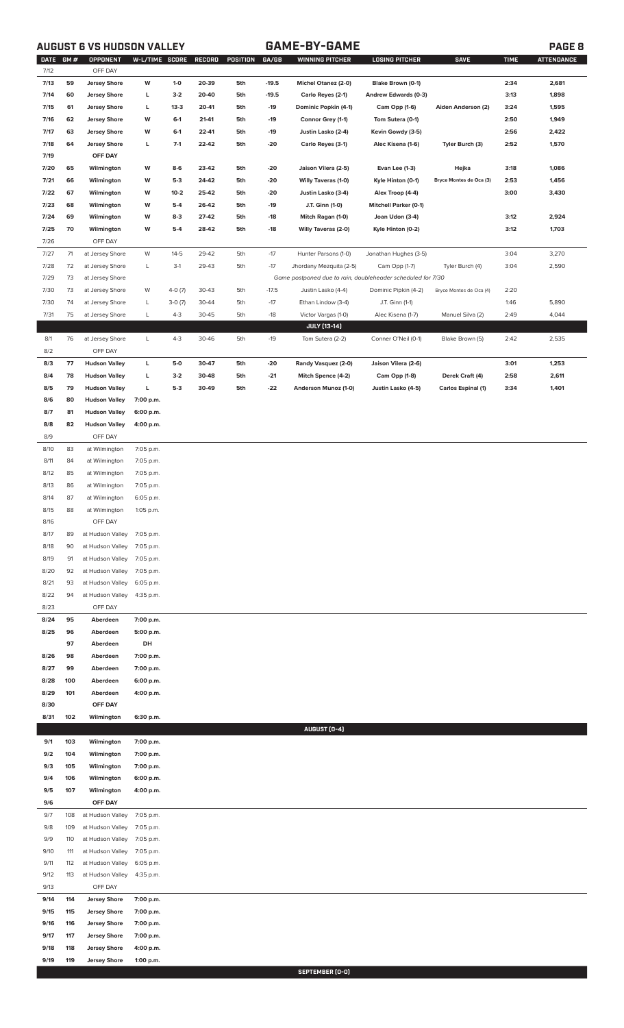# **AUGUST 6 VS HUDSON VALLEY GAME-BY-GAME PAGE 8**

|      | DATE GM # | OPPONENT                   | W-L/TIME SCORE |          | <b>RECORD</b> | POSITION | GA/GB   | WINNING PITCHER                                             | <b>LOSING PITCHER</b>        | <b>SAVE</b>               | <b>TIME</b> | <b>ATTENDANCE</b> |
|------|-----------|----------------------------|----------------|----------|---------------|----------|---------|-------------------------------------------------------------|------------------------------|---------------------------|-------------|-------------------|
| 7/12 |           | OFF DAY                    |                |          |               |          |         |                                                             |                              |                           |             |                   |
| 7/13 | 59        | <b>Jersey Shore</b>        | W              | $1-0$    | 20-39         | 5th      | $-19.5$ | <b>Michel Otanez (2-0)</b>                                  | Blake Brown (0-1)            |                           | 2:34        | 2,681             |
| 7/14 | 60        | <b>Jersey Shore</b>        | L              | $3-2$    | 20-40         | 5th      | $-19.5$ | Carlo Reyes (2-1)                                           | Andrew Edwards (0-3)         |                           | 3:13        | 1,898             |
| 7/15 | 61        | <b>Jersey Shore</b>        | L              | $13-3$   | 20-41         | 5th      | $-19$   | Dominic Popkin (4-1)                                        | Cam Opp (1-6)                | Aiden Anderson (2)        | 3:24        | 1,595             |
| 7/16 | 62        | <b>Jersey Shore</b>        | W              | $6-1$    | 21-41         | 5th      | $-19$   | Connor Grey (1-1)                                           | Tom Sutera (0-1)             |                           | 2:50        | 1,949             |
| 7/17 | 63        | <b>Jersey Shore</b>        | W              | $6-1$    | 22-41         | 5th      | -19     | Justin Lasko (2-4)                                          | Kevin Gowdy (3-5)            |                           | 2:56        | 2,422             |
| 7/18 | 64        | <b>Jersey Shore</b>        | L              | $7-1$    | 22-42         | 5th      | -20     | Carlo Reyes (3-1)                                           | Alec Kisena (1-6)            | Tyler Burch (3)           | 2:52        | 1,570             |
| 7/19 |           | OFF DAY                    |                |          |               |          |         |                                                             |                              |                           |             |                   |
|      |           |                            |                |          |               |          |         |                                                             |                              |                           |             |                   |
| 7/20 | 65        | Wilmington                 | W              | $8-6$    | 23-42         | 5th      | -20     | Jaison Vilera (2-5)                                         | Evan Lee (1-3)               | Hejka                     | 3:18        | 1,086             |
| 7/21 | 66        | Wilmington                 | W              | $5-3$    | 24-42         | 5th      | -20     | <b>Willy Taveras (1-0)</b>                                  | Kyle Hinton (0-1)            | Bryce Montes de Oca (3)   | 2:53        | 1,456             |
| 7/22 | 67        | Wilmington                 | W              | $10-2$   | 25-42         | 5th      | -20     | Justin Lasko (3-4)                                          | Alex Troop (4-4)             |                           | 3:00        | 3,430             |
| 7/23 | 68        | Wilmington                 | W              | $5-4$    | 26-42         | 5th      | -19     | J.T. Ginn (1-0)                                             | <b>Mitchell Parker (0-1)</b> |                           |             |                   |
| 7/24 | 69        | Wilmington                 | W              | $8-3$    | 27-42         | 5th      | -18     | Mitch Ragan (1-0)                                           | Joan Udon (3-4)              |                           | 3:12        | 2,924             |
| 7/25 | 70        | Wilmington                 | W              | $5-4$    | 28-42         | 5th      | -18     | <b>Willy Taveras (2-0)</b>                                  | Kyle Hinton (0-2)            |                           | 3:12        | 1,703             |
| 7/26 |           | OFF DAY                    |                |          |               |          |         |                                                             |                              |                           |             |                   |
|      |           |                            |                |          |               |          |         |                                                             |                              |                           |             |                   |
| 7/27 | 71        | at Jersey Shore            | W              | $14 - 5$ | 29-42         | 5th      | $-17$   | Hunter Parsons (1-0)                                        | Jonathan Hughes (3-5)        |                           | 3:04        | 3,270             |
| 7/28 | 72        | at Jersey Shore            | L              | $3-1$    | 29-43         | 5th      | $-17$   | Jhordany Mezquita (2-5)                                     | Cam Opp (1-7)                | Tyler Burch (4)           | 3:04        | 2,590             |
| 7/29 | 73        | at Jersey Shore            |                |          |               |          |         | Game postponed due to rain, doubleheader scheduled for 7/30 |                              |                           |             |                   |
| 7/30 | 73        | at Jersey Shore            | W              | $4-0(7)$ | 30-43         | 5th      | $-17.5$ | Justin Lasko (4-4)                                          | Dominic Pipkin (4-2)         | Bryce Montes de Oca (4)   | 2:20        |                   |
| 7/30 | 74        | at Jersey Shore            | L              | $3-0(7)$ | 30-44         | 5th      | $-17$   | Ethan Lindow (3-4)                                          | J.T. Ginn (1-1)              |                           | 1:46        | 5,890             |
| 7/31 | 75        | at Jersey Shore            | L              | $4 - 3$  | 30-45         | 5th      | $-18$   | Victor Vargas (1-0)                                         | Alec Kisena (1-7)            | Manuel Silva (2)          | 2:49        | 4,044             |
|      |           |                            |                |          |               |          |         | <b>JULY [13-14]</b>                                         |                              |                           |             |                   |
|      |           |                            |                |          |               |          |         |                                                             |                              |                           |             |                   |
| 8/1  | 76        | at Jersey Shore            | L              | $4-3$    | 30-46         | 5th      | $-19$   | Tom Sutera (2-2)                                            | Conner O'Neil (0-1)          | Blake Brown (5)           | 2:42        | 2,535             |
| 8/2  |           | OFF DAY                    |                |          |               |          |         |                                                             |                              |                           |             |                   |
| 8/3  | 77        | <b>Hudson Valley</b>       | L              | $5-0$    | 30-47         | 5th      | -20     | Randy Vasquez (2-0)                                         | Jaison Vilera (2-6)          |                           | 3:01        | 1,253             |
| 8/4  | 78        | <b>Hudson Valley</b>       | L              | $3-2$    | 30-48         | 5th      | $-21$   | Mitch Spence (4-2)                                          | Cam Opp (1-8)                | Derek Craft (4)           | 2:58        | 2,611             |
| 8/5  | 79        | <b>Hudson Valley</b>       | L              | $5-3$    | 30-49         | 5th      | $-22$   | Anderson Munoz (1-0)                                        | Justin Lasko (4-5)           | <b>Carlos Espinal (1)</b> | 3:34        | 1,401             |
| 8/6  | 80        | <b>Hudson Valley</b>       | 7:00 p.m.      |          |               |          |         |                                                             |                              |                           |             |                   |
| 8/7  | 81        | <b>Hudson Valley</b>       | 6:00 p.m.      |          |               |          |         |                                                             |                              |                           |             |                   |
|      |           |                            |                |          |               |          |         |                                                             |                              |                           |             |                   |
| 8/8  | 82        | <b>Hudson Valley</b>       | 4:00 p.m.      |          |               |          |         |                                                             |                              |                           |             |                   |
| 8/9  |           | OFF DAY                    |                |          |               |          |         |                                                             |                              |                           |             |                   |
| 8/10 | 83        | at Wilmington              | 7:05 p.m.      |          |               |          |         |                                                             |                              |                           |             |                   |
| 8/11 | 84        | at Wilmington              | 7:05 p.m.      |          |               |          |         |                                                             |                              |                           |             |                   |
| 8/12 | 85        | at Wilmington              | 7:05 p.m.      |          |               |          |         |                                                             |                              |                           |             |                   |
| 8/13 | 86        | at Wilmington              | 7:05 p.m.      |          |               |          |         |                                                             |                              |                           |             |                   |
| 8/14 | 87        | at Wilmington              | 6:05 p.m.      |          |               |          |         |                                                             |                              |                           |             |                   |
|      |           |                            |                |          |               |          |         |                                                             |                              |                           |             |                   |
| 8/15 | 88        | at Wilmington              | 1:05 p.m.      |          |               |          |         |                                                             |                              |                           |             |                   |
| 8/16 |           | OFF DAY                    |                |          |               |          |         |                                                             |                              |                           |             |                   |
| 8/17 | 89        | at Hudson Valley           | 7:05 p.m.      |          |               |          |         |                                                             |                              |                           |             |                   |
| 8/18 | 90        | at Hudson Valley 7:05 p.m. |                |          |               |          |         |                                                             |                              |                           |             |                   |
| 8/19 | 91        | at Hudson Valley 7:05 p.m. |                |          |               |          |         |                                                             |                              |                           |             |                   |
| 8/20 | 92        | at Hudson Valley 7:05 p.m. |                |          |               |          |         |                                                             |                              |                           |             |                   |
| 8/21 | 93        | at Hudson Valley           | 6:05 p.m.      |          |               |          |         |                                                             |                              |                           |             |                   |
|      |           |                            |                |          |               |          |         |                                                             |                              |                           |             |                   |
| 8/22 | 94        | at Hudson Valley           | 4:35 p.m.      |          |               |          |         |                                                             |                              |                           |             |                   |
| 8/23 |           | OFF DAY                    |                |          |               |          |         |                                                             |                              |                           |             |                   |
| 8/24 | 95        | Aberdeen                   | 7:00 p.m.      |          |               |          |         |                                                             |                              |                           |             |                   |
| 8/25 | 96        | Aberdeen                   | 5:00 p.m.      |          |               |          |         |                                                             |                              |                           |             |                   |
|      | 97        | Aberdeen                   | DH             |          |               |          |         |                                                             |                              |                           |             |                   |
| 8/26 | 98        | Aberdeen                   | 7:00 p.m.      |          |               |          |         |                                                             |                              |                           |             |                   |
| 8/27 | 99        | Aberdeen                   | 7:00 p.m.      |          |               |          |         |                                                             |                              |                           |             |                   |
|      |           |                            |                |          |               |          |         |                                                             |                              |                           |             |                   |
| 8/28 | 100       | Aberdeen                   | 6:00 p.m.      |          |               |          |         |                                                             |                              |                           |             |                   |
| 8/29 | 101       | Aberdeen                   | 4:00 p.m.      |          |               |          |         |                                                             |                              |                           |             |                   |
| 8/30 |           | OFF DAY                    |                |          |               |          |         |                                                             |                              |                           |             |                   |
| 8/31 | 102       | Wilmington                 | 6:30 p.m.      |          |               |          |         |                                                             |                              |                           |             |                   |
|      |           |                            |                |          |               |          |         | AUGUST (0-4)                                                |                              |                           |             |                   |
| 9/1  | 103       | Wilmington                 | 7:00 p.m.      |          |               |          |         |                                                             |                              |                           |             |                   |
| 9/2  | 104       | Wilmington                 | 7:00 p.m.      |          |               |          |         |                                                             |                              |                           |             |                   |
|      |           |                            |                |          |               |          |         |                                                             |                              |                           |             |                   |
| 9/3  | 105       | Wilmington                 | 7:00 p.m.      |          |               |          |         |                                                             |                              |                           |             |                   |
| 9/4  | 106       | Wilmington                 | 6:00 p.m.      |          |               |          |         |                                                             |                              |                           |             |                   |
| 9/5  | 107       | Wilmington                 | 4:00 p.m.      |          |               |          |         |                                                             |                              |                           |             |                   |
| 9/6  |           | OFF DAY                    |                |          |               |          |         |                                                             |                              |                           |             |                   |
| 9/7  | 108       | at Hudson Valley           | 7:05 p.m.      |          |               |          |         |                                                             |                              |                           |             |                   |
| 9/8  | 109       | at Hudson Valley           | 7:05 p.m.      |          |               |          |         |                                                             |                              |                           |             |                   |
| 9/9  | 110       | at Hudson Valley           | 7:05 p.m.      |          |               |          |         |                                                             |                              |                           |             |                   |
| 9/10 |           | at Hudson Valley           | 7:05 p.m.      |          |               |          |         |                                                             |                              |                           |             |                   |
|      | 111       |                            |                |          |               |          |         |                                                             |                              |                           |             |                   |
| 9/11 | 112       | at Hudson Valley           | 6:05 p.m.      |          |               |          |         |                                                             |                              |                           |             |                   |
| 9/12 | 113       | at Hudson Valley           | 4:35 p.m.      |          |               |          |         |                                                             |                              |                           |             |                   |
| 9/13 |           | OFF DAY                    |                |          |               |          |         |                                                             |                              |                           |             |                   |
| 9/14 | 114       | <b>Jersey Shore</b>        | 7:00 p.m.      |          |               |          |         |                                                             |                              |                           |             |                   |
| 9/15 | 115       | <b>Jersey Shore</b>        | 7:00 p.m.      |          |               |          |         |                                                             |                              |                           |             |                   |
| 9/16 | 116       | <b>Jersey Shore</b>        | 7:00 p.m.      |          |               |          |         |                                                             |                              |                           |             |                   |
| 9/17 | 117       | <b>Jersey Shore</b>        | 7:00 p.m.      |          |               |          |         |                                                             |                              |                           |             |                   |
|      |           |                            |                |          |               |          |         |                                                             |                              |                           |             |                   |
| 9/18 | 118       | <b>Jersey Shore</b>        | 4:00 p.m.      |          |               |          |         |                                                             |                              |                           |             |                   |
| 9/19 | 119       | <b>Jersey Shore</b>        | 1:00 p.m.      |          |               |          |         |                                                             |                              |                           |             |                   |

**SEPTEMBER (0-0)**